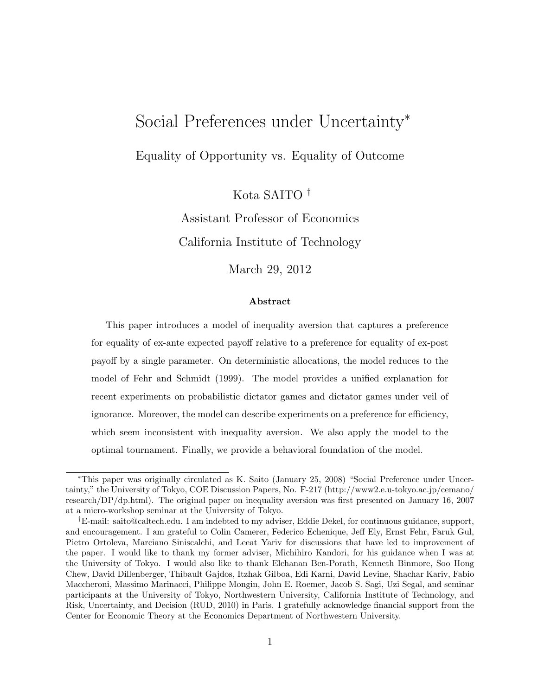# Social Preferences under Uncertainty*<sup>∗</sup>*

Equality of Opportunity vs. Equality of Outcome

Kota SAITO *†*

Assistant Professor of Economics California Institute of Technology

March 29, 2012

#### **Abstract**

This paper introduces a model of inequality aversion that captures a preference for equality of ex-ante expected payoff relative to a preference for equality of ex-post payoff by a single parameter. On deterministic allocations, the model reduces to the model of Fehr and Schmidt (1999). The model provides a unified explanation for recent experiments on probabilistic dictator games and dictator games under veil of ignorance. Moreover, the model can describe experiments on a preference for efficiency, which seem inconsistent with inequality aversion. We also apply the model to the optimal tournament. Finally, we provide a behavioral foundation of the model.

*<sup>∗</sup>*This paper was originally circulated as K. Saito (January 25, 2008) "Social Preference under Uncertainty," the University of Tokyo, COE Discussion Papers, No. F-217 (http://www2.e.u-tokyo.ac.jp/cemano/ research/DP/dp.html). The original paper on inequality aversion was first presented on January 16, 2007 at a micro-workshop seminar at the University of Tokyo.

*<sup>†</sup>*E-mail: saito@caltech.edu. I am indebted to my adviser, Eddie Dekel, for continuous guidance, support, and encouragement. I am grateful to Colin Camerer, Federico Echenique, Jeff Ely, Ernst Fehr, Faruk Gul, Pietro Ortoleva, Marciano Siniscalchi, and Leeat Yariv for discussions that have led to improvement of the paper. I would like to thank my former adviser, Michihiro Kandori, for his guidance when I was at the University of Tokyo. I would also like to thank Elchanan Ben-Porath, Kenneth Binmore, Soo Hong Chew, David Dillenberger, Thibault Gajdos, Itzhak Gilboa, Edi Karni, David Levine, Shachar Kariv, Fabio Maccheroni, Massimo Marinacci, Philippe Mongin, John E. Roemer, Jacob S. Sagi, Uzi Segal, and seminar participants at the University of Tokyo, Northwestern University, California Institute of Technology, and Risk, Uncertainty, and Decision (RUD, 2010) in Paris. I gratefully acknowledge financial support from the Center for Economic Theory at the Economics Department of Northwestern University.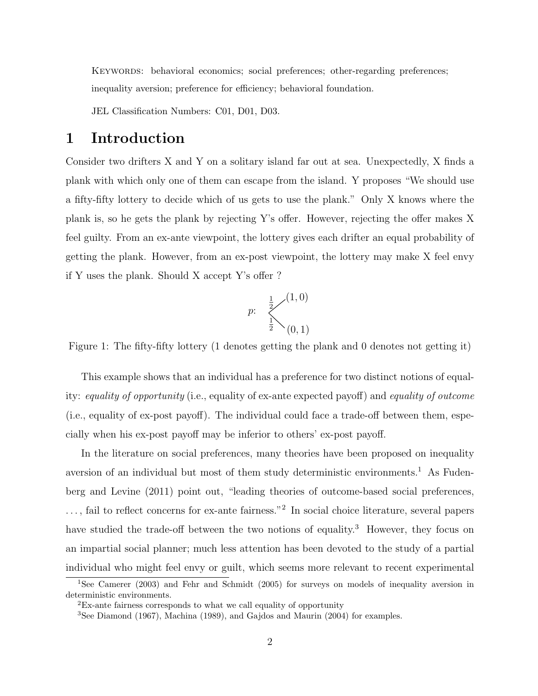KEYWORDS: behavioral economics; social preferences; other-regarding preferences; inequality aversion; preference for efficiency; behavioral foundation.

JEL Classification Numbers: C01, D01, D03.

# **1 Introduction**

Consider two drifters X and Y on a solitary island far out at sea. Unexpectedly, X finds a plank with which only one of them can escape from the island. Y proposes "We should use a fifty-fifty lottery to decide which of us gets to use the plank." Only X knows where the plank is, so he gets the plank by rejecting Y's offer. However, rejecting the offer makes X feel guilty. From an ex-ante viewpoint, the lottery gives each drifter an equal probability of getting the plank. However, from an ex-post viewpoint, the lottery may make X feel envy if Y uses the plank. Should X accept Y's offer ?

$$
p: \bigg\{\sum_{\frac{1}{2}}^{1} \binom{(1,0)}{(0,1)}
$$

Figure 1: The fifty-fifty lottery (1 denotes getting the plank and 0 denotes not getting it)

This example shows that an individual has a preference for two distinct notions of equality: *equality of opportunity* (i.e., equality of ex-ante expected payoff) and *equality of outcome* (i.e., equality of ex-post payoff). The individual could face a trade-off between them, especially when his ex-post payoff may be inferior to others' ex-post payoff.

In the literature on social preferences, many theories have been proposed on inequality aversion of an individual but most of them study deterministic environments.<sup>1</sup> As Fudenberg and Levine (2011) point out, "leading theories of outcome-based social preferences, ..., fail to reflect concerns for ex-ante fairness."<sup>2</sup> In social choice literature, several papers have studied the trade-off between the two notions of equality.<sup>3</sup> However, they focus on an impartial social planner; much less attention has been devoted to the study of a partial individual who might feel envy or guilt, which seems more relevant to recent experimental

<sup>&</sup>lt;sup>1</sup>See Camerer (2003) and Fehr and Schmidt (2005) for surveys on models of inequality aversion in deterministic environments.

<sup>2</sup>Ex-ante fairness corresponds to what we call equality of opportunity

<sup>3</sup>See Diamond (1967), Machina (1989), and Gajdos and Maurin (2004) for examples.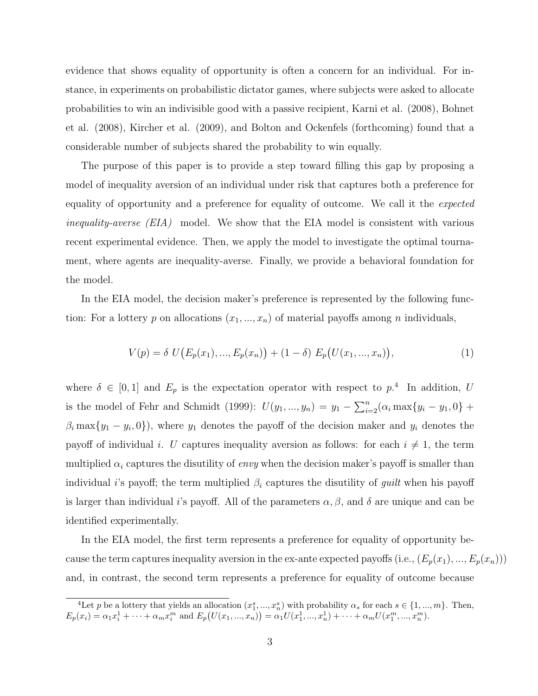evidence that shows equality of opportunity is often a concern for an individual. For instance, in experiments on probabilistic dictator games, where subjects were asked to allocate probabilities to win an indivisible good with a passive recipient, Karni et al. (2008), Bohnet et al. (2008), Kircher et al. (2009), and Bolton and Ockenfels (forthcoming) found that a considerable number of subjects shared the probability to win equally.

The purpose of this paper is to provide a step toward filling this gap by proposing a model of inequality aversion of an individual under risk that captures both a preference for equality of opportunity and a preference for equality of outcome. We call it the *expected inequality-averse (EIA)* model. We show that the EIA model is consistent with various recent experimental evidence. Then, we apply the model to investigate the optimal tournament, where agents are inequality-averse. Finally, we provide a behavioral foundation for the model.

In the EIA model, the decision maker's preference is represented by the following function: For a lottery  $p$  on allocations  $(x_1, ..., x_n)$  of material payoffs among  $n$  individuals,

$$
V(p) = \delta U(E_p(x_1), ..., E_p(x_n)) + (1 - \delta) E_p(U(x_1, ..., x_n)),
$$
\n(1)

where  $\delta \in [0,1]$  and  $E_p$  is the expectation operator with respect to  $p^4$ . In addition, *U* is the model of Fehr and Schmidt (1999):  $U(y_1, ..., y_n) = y_1 - \sum_{i=2}^n (\alpha_i \max\{y_i - y_1, 0\} +$  $\beta_i$  max $\{y_1 - y_i, 0\}$ , where  $y_1$  denotes the payoff of the decision maker and  $y_i$  denotes the payoff of individual *i*. *U* captures inequality aversion as follows: for each  $i \neq 1$ , the term multiplied  $\alpha_i$  captures the disutility of *envy* when the decision maker's payoff is smaller than individual *i*'s payoff; the term multiplied  $\beta_i$  captures the disutility of *guilt* when his payoff is larger than individual *i*'s payoff. All of the parameters  $\alpha, \beta$ , and  $\delta$  are unique and can be identified experimentally.

In the EIA model, the first term represents a preference for equality of opportunity because the term captures inequality aversion in the ex-ante expected payoffs (i.e.,  $(E_p(x_1),...,E_p(x_n))$ ) and, in contrast, the second term represents a preference for equality of outcome because

<sup>&</sup>lt;sup>4</sup>Let *p* be a lottery that yields an allocation  $(x_1^s, ..., x_n^s)$  with probability  $\alpha_s$  for each  $s \in \{1, ..., m\}$ . Then,  $E_p(x_i) = \alpha_1 x_i^1 + \cdots + \alpha_m x_i^m$  and  $E_p(U(x_1, ..., x_n)) = \alpha_1 U(x_1^1, ..., x_n^1) + \cdots + \alpha_m U(x_1^m, ..., x_n^m)$ .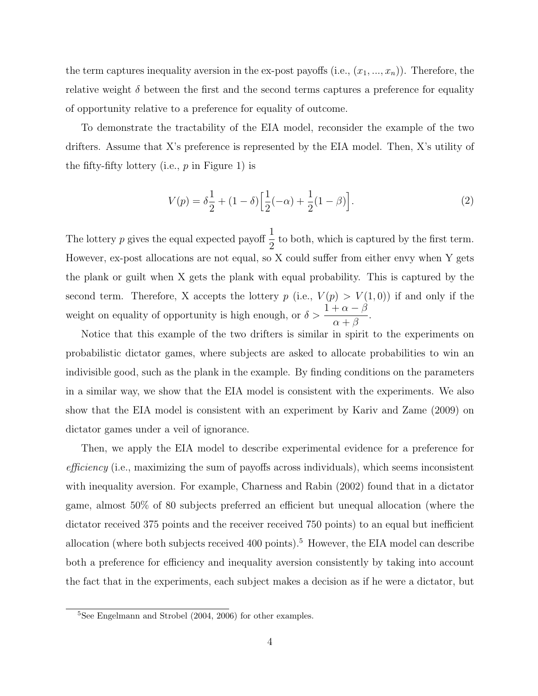the term captures inequality aversion in the ex-post payoffs (i.e.,  $(x_1, ..., x_n)$ ). Therefore, the relative weight  $\delta$  between the first and the second terms captures a preference for equality of opportunity relative to a preference for equality of outcome.

To demonstrate the tractability of the EIA model, reconsider the example of the two drifters. Assume that X's preference is represented by the EIA model. Then, X's utility of the fifty-fifty lottery (i.e., *p* in Figure 1) is

$$
V(p) = \delta \frac{1}{2} + (1 - \delta) \left[ \frac{1}{2}(-\alpha) + \frac{1}{2}(1 - \beta) \right].
$$
 (2)

The lottery *p* gives the equal expected payoff  $\frac{1}{2}$ 2 to both, which is captured by the first term. However, ex-post allocations are not equal, so X could suffer from either envy when Y gets the plank or guilt when X gets the plank with equal probability. This is captured by the second term. Therefore, X accepts the lottery  $p$  (i.e.,  $V(p) > V(1,0)$ ) if and only if the weight on equality of opportunity is high enough, or  $\delta > \frac{1 + \alpha - \beta}{\alpha}$ *α* + *β* .

Notice that this example of the two drifters is similar in spirit to the experiments on probabilistic dictator games, where subjects are asked to allocate probabilities to win an indivisible good, such as the plank in the example. By finding conditions on the parameters in a similar way, we show that the EIA model is consistent with the experiments. We also show that the EIA model is consistent with an experiment by Kariv and Zame (2009) on dictator games under a veil of ignorance.

Then, we apply the EIA model to describe experimental evidence for a preference for *efficiency* (i.e., maximizing the sum of payoffs across individuals), which seems inconsistent with inequality aversion. For example, Charness and Rabin (2002) found that in a dictator game, almost 50% of 80 subjects preferred an efficient but unequal allocation (where the dictator received 375 points and the receiver received 750 points) to an equal but inefficient allocation (where both subjects received 400 points).<sup>5</sup> However, the EIA model can describe both a preference for efficiency and inequality aversion consistently by taking into account the fact that in the experiments, each subject makes a decision as if he were a dictator, but

<sup>5</sup>See Engelmann and Strobel (2004, 2006) for other examples.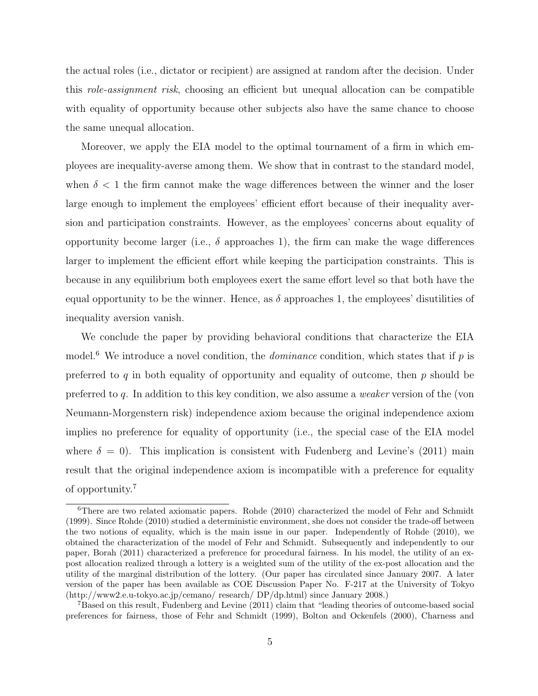the actual roles (i.e., dictator or recipient) are assigned at random after the decision. Under this *role-assignment risk*, choosing an efficient but unequal allocation can be compatible with equality of opportunity because other subjects also have the same chance to choose the same unequal allocation.

Moreover, we apply the EIA model to the optimal tournament of a firm in which employees are inequality-averse among them. We show that in contrast to the standard model, when  $\delta$  < 1 the firm cannot make the wage differences between the winner and the loser large enough to implement the employees' efficient effort because of their inequality aversion and participation constraints. However, as the employees' concerns about equality of opportunity become larger (i.e.,  $\delta$  approaches 1), the firm can make the wage differences larger to implement the efficient effort while keeping the participation constraints. This is because in any equilibrium both employees exert the same effort level so that both have the equal opportunity to be the winner. Hence, as  $\delta$  approaches 1, the employees' disutilities of inequality aversion vanish.

We conclude the paper by providing behavioral conditions that characterize the EIA model.<sup>6</sup> We introduce a novel condition, the *dominance* condition, which states that if *p* is preferred to *q* in both equality of opportunity and equality of outcome, then *p* should be preferred to *q*. In addition to this key condition, we also assume a *weaker* version of the (von Neumann-Morgenstern risk) independence axiom because the original independence axiom implies no preference for equality of opportunity (i.e., the special case of the EIA model where  $\delta = 0$ ). This implication is consistent with Fudenberg and Levine's (2011) main result that the original independence axiom is incompatible with a preference for equality of opportunity.<sup>7</sup>

<sup>6</sup>There are two related axiomatic papers. Rohde (2010) characterized the model of Fehr and Schmidt (1999). Since Rohde (2010) studied a deterministic environment, she does not consider the trade-off between the two notions of equality, which is the main issue in our paper. Independently of Rohde (2010), we obtained the characterization of the model of Fehr and Schmidt. Subsequently and independently to our paper, Borah (2011) characterized a preference for procedural fairness. In his model, the utility of an expost allocation realized through a lottery is a weighted sum of the utility of the ex-post allocation and the utility of the marginal distribution of the lottery. (Our paper has circulated since January 2007. A later version of the paper has been available as COE Discussion Paper No. F-217 at the University of Tokyo (http://www2.e.u-tokyo.ac.jp/cemano/ research/ DP/dp.html) since January 2008.)

<sup>7</sup>Based on this result, Fudenberg and Levine (2011) claim that "leading theories of outcome-based social preferences for fairness, those of Fehr and Schmidt (1999), Bolton and Ockenfels (2000), Charness and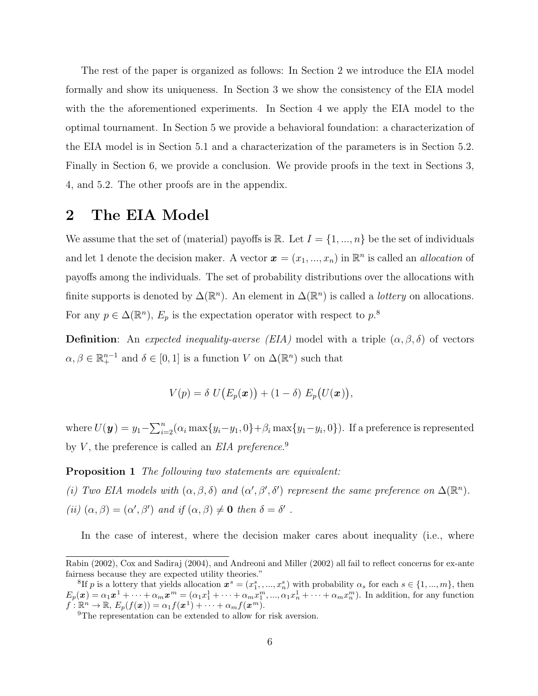The rest of the paper is organized as follows: In Section 2 we introduce the EIA model formally and show its uniqueness. In Section 3 we show the consistency of the EIA model with the the aforementioned experiments. In Section 4 we apply the EIA model to the optimal tournament. In Section 5 we provide a behavioral foundation: a characterization of the EIA model is in Section 5.1 and a characterization of the parameters is in Section 5.2. Finally in Section 6, we provide a conclusion. We provide proofs in the text in Sections 3, 4, and 5.2. The other proofs are in the appendix.

# **2 The EIA Model**

We assume that the set of (material) payoffs is  $\mathbb{R}$ . Let  $I = \{1, ..., n\}$  be the set of individuals and let 1 denote the decision maker. A vector  $\mathbf{x} = (x_1, ..., x_n)$  in  $\mathbb{R}^n$  is called an *allocation* of payoffs among the individuals. The set of probability distributions over the allocations with finite supports is denoted by  $\Delta(\mathbb{R}^n)$ . An element in  $\Delta(\mathbb{R}^n)$  is called a *lottery* on allocations. For any  $p \in \Delta(\mathbb{R}^n)$ ,  $E_p$  is the expectation operator with respect to  $p$ <sup>8</sup>

**Definition**: An *expected inequality-averse (EIA)* model with a triple  $(\alpha, \beta, \delta)$  of vectors  $\alpha, \beta \in \mathbb{R}^{n-1}_+$  and  $\delta \in [0,1]$  is a function *V* on  $\Delta(\mathbb{R}^n)$  such that

$$
V(p) = \delta U(E_p(\boldsymbol{x})) + (1 - \delta) E_p(U(\boldsymbol{x})),
$$

where  $U(\mathbf{y}) = y_1 - \sum_{i=2}^n (\alpha_i \max\{y_i - y_1, 0\} + \beta_i \max\{y_1 - y_i, 0\})$ . If a preference is represented by *V* , the preference is called an *EIA preference*. 9

**Proposition 1** *The following two statements are equivalent:*

*(i)* Two EIA models with  $(\alpha, \beta, \delta)$  and  $(\alpha', \beta', \delta')$  represent the same preference on  $\Delta(\mathbb{R}^n)$ .  $(iii)$   $(\alpha, \beta) = (\alpha', \beta')$  *and if*  $(\alpha, \beta) \neq \mathbf{0}$  *then*  $\delta = \delta'$ .

In the case of interest, where the decision maker cares about inequality (i.e., where

Rabin (2002), Cox and Sadiraj (2004), and Andreoni and Miller (2002) all fail to reflect concerns for ex-ante fairness because they are expected utility theories."

<sup>&</sup>lt;sup>8</sup>If *p* is a lottery that yields allocation  $x^s = (x_1^s, ..., x_n^s)$  with probability  $\alpha_s$  for each  $s \in \{1, ..., m\}$ , then  $E_p(\boldsymbol{x}) = \alpha_1 \boldsymbol{x}^1 + \cdots + \alpha_m \boldsymbol{x}^m = (\alpha_1 x_1^1 + \cdots + \alpha_m x_1^m, ..., \alpha_1 x_n^1 + \cdots + \alpha_m x_n^m)$ . In addition, for any function  $f: \mathbb{R}^n \to \mathbb{R}, E_p(f(\boldsymbol{x})) = \alpha_1 f(\boldsymbol{x}^1) + \cdots + \alpha_m f(\boldsymbol{x}^m).$ 

<sup>9</sup>The representation can be extended to allow for risk aversion.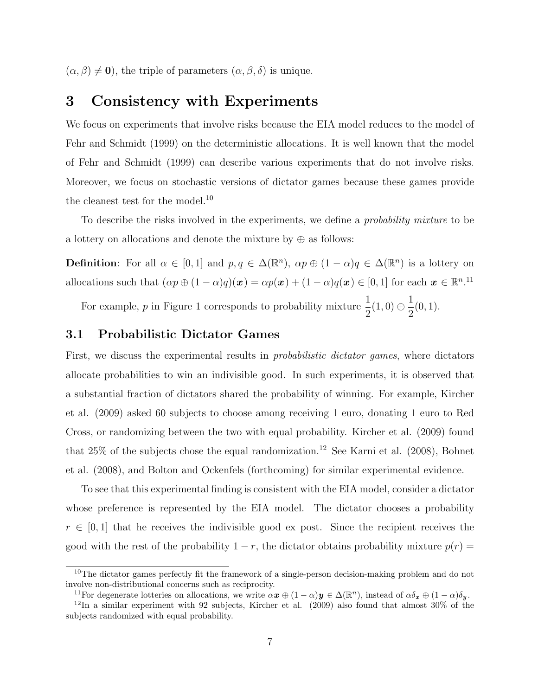$(\alpha, \beta) \neq \mathbf{0}$ , the triple of parameters  $(\alpha, \beta, \delta)$  is unique.

### **3 Consistency with Experiments**

We focus on experiments that involve risks because the EIA model reduces to the model of Fehr and Schmidt (1999) on the deterministic allocations. It is well known that the model of Fehr and Schmidt (1999) can describe various experiments that do not involve risks. Moreover, we focus on stochastic versions of dictator games because these games provide the cleanest test for the model.<sup>10</sup>

To describe the risks involved in the experiments, we define a *probability mixture* to be a lottery on allocations and denote the mixture by *⊕* as follows:

**Definition**: For all  $\alpha \in [0,1]$  and  $p, q \in \Delta(\mathbb{R}^n)$ ,  $\alpha p \oplus (1-\alpha)q \in \Delta(\mathbb{R}^n)$  is a lottery on allocations such that  $(\alpha p \oplus (1 - \alpha)q)(x) = \alpha p(x) + (1 - \alpha)q(x) \in [0, 1]$  for each  $x \in \mathbb{R}^{n}$ .<sup>11</sup>

For example, *p* in Figure 1 corresponds to probability mixture  $\frac{1}{2}$  $\frac{1}{2}(1,0) \oplus$ 1 2 (0*,* 1).

### **3.1 Probabilistic Dictator Games**

First, we discuss the experimental results in *probabilistic dictator games*, where dictators allocate probabilities to win an indivisible good. In such experiments, it is observed that a substantial fraction of dictators shared the probability of winning. For example, Kircher et al. (2009) asked 60 subjects to choose among receiving 1 euro, donating 1 euro to Red Cross, or randomizing between the two with equal probability. Kircher et al. (2009) found that  $25\%$  of the subjects chose the equal randomization.<sup>12</sup> See Karni et al. (2008), Bohnet et al. (2008), and Bolton and Ockenfels (forthcoming) for similar experimental evidence.

To see that this experimental finding is consistent with the EIA model, consider a dictator whose preference is represented by the EIA model. The dictator chooses a probability  $r \in [0,1]$  that he receives the indivisible good ex post. Since the recipient receives the good with the rest of the probability  $1 - r$ , the dictator obtains probability mixture  $p(r) =$ 

<sup>&</sup>lt;sup>10</sup>The dictator games perfectly fit the framework of a single-person decision-making problem and do not involve non-distributional concerns such as reciprocity.

<sup>&</sup>lt;sup>11</sup>For degenerate lotteries on allocations, we write  $\alpha x \oplus (1 - \alpha)y \in \Delta(\mathbb{R}^n)$ , instead of  $\alpha \delta_x \oplus (1 - \alpha)\delta_y$ .

 $12$ In a similar experiment with 92 subjects, Kircher et al. (2009) also found that almost 30% of the subjects randomized with equal probability.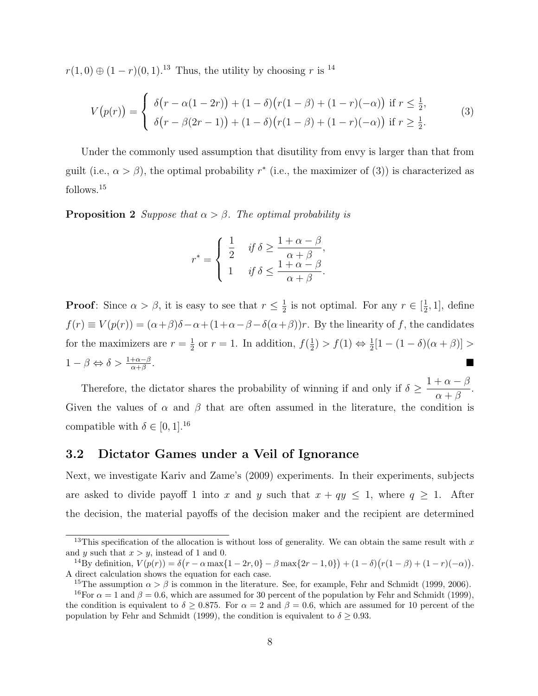*r*(1*,* 0) ⊕ (1 *− r*)(0*,* 1).<sup>13</sup> Thus, the utility by choosing *r* is <sup>14</sup>

$$
V(p(r)) = \begin{cases} \delta(r - \alpha(1 - 2r)) + (1 - \delta)(r(1 - \beta) + (1 - r)(-\alpha)) & \text{if } r \leq \frac{1}{2}, \\ \delta(r - \beta(2r - 1)) + (1 - \delta)(r(1 - \beta) + (1 - r)(-\alpha)) & \text{if } r \geq \frac{1}{2}. \end{cases}
$$
(3)

Under the commonly used assumption that disutility from envy is larger than that from guilt (i.e.,  $\alpha > \beta$ ), the optimal probability  $r^*$  (i.e., the maximizer of (3)) is characterized as follows.<sup>15</sup>

**Proposition 2** *Suppose that*  $\alpha > \beta$ *. The optimal probability is* 

$$
r^* = \begin{cases} \frac{1}{2} & \text{if } \delta \ge \frac{1+\alpha-\beta}{\alpha+\beta}, \\ 1 & \text{if } \delta \le \frac{1+\alpha-\beta}{\alpha+\beta}. \end{cases}
$$

**Proof**: Since  $\alpha > \beta$ , it is easy to see that  $r \leq \frac{1}{2}$  $\frac{1}{2}$  is not optimal. For any  $r \in [\frac{1}{2}]$  $\frac{1}{2}$ , 1], define  $f(r) \equiv V(p(r)) = (\alpha + \beta)\delta - \alpha + (1 + \alpha - \beta - \delta(\alpha + \beta))r$ . By the linearity of *f*, the candidates for the maximizers are  $r = \frac{1}{2}$  $\frac{1}{2}$  or  $r = 1$ . In addition,  $f(\frac{1}{2})$  $\frac{1}{2}$ ) >  $f(1) \Leftrightarrow \frac{1}{2}[1 - (1 - \delta)(\alpha + \beta)]$  > 1 *− β ⇔ δ >* 1+*α−<sup>β</sup> α*+*β* .

Therefore, the dictator shares the probability of winning if and only if *δ ≥*  $1 + \alpha - \beta$ *α* + *β* . Given the values of  $\alpha$  and  $\beta$  that are often assumed in the literature, the condition is compatible with  $\delta \in [0, 1]$ .<sup>16</sup>

#### **3.2 Dictator Games under a Veil of Ignorance**

Next, we investigate Kariv and Zame's (2009) experiments. In their experiments, subjects are asked to divide payoff 1 into *x* and *y* such that  $x + qy \le 1$ , where  $q \ge 1$ . After the decision, the material payoffs of the decision maker and the recipient are determined

<sup>&</sup>lt;sup>13</sup>This specification of the allocation is without loss of generality. We can obtain the same result with x and *y* such that  $x > y$ , instead of 1 and 0.

<sup>&</sup>lt;sup>14</sup>By definition,  $V(p(r)) = \delta(r - \alpha \max\{1 - 2r, 0\} - \beta \max\{2r - 1, 0\}) + (1 - \delta)(r(1 - \beta) + (1 - r)(-\alpha)).$ A direct calculation shows the equation for each case.

<sup>&</sup>lt;sup>15</sup>The assumption  $\alpha > \beta$  is common in the literature. See, for example, Fehr and Schmidt (1999, 2006).

<sup>&</sup>lt;sup>16</sup>For  $\alpha = 1$  and  $\beta = 0.6$ , which are assumed for 30 percent of the population by Fehr and Schmidt (1999), the condition is equivalent to  $\delta > 0.875$ . For  $\alpha = 2$  and  $\beta = 0.6$ , which are assumed for 10 percent of the population by Fehr and Schmidt (1999), the condition is equivalent to  $\delta \geq 0.93$ .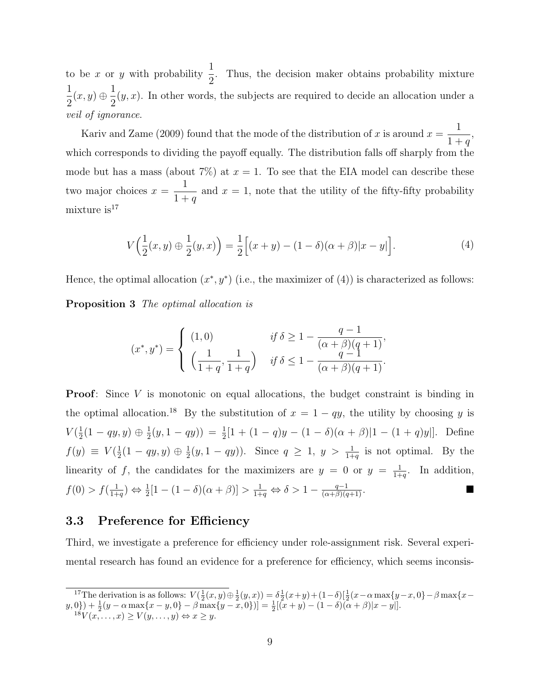to be *x* or *y* with probability  $\frac{1}{2}$ 2 . Thus, the decision maker obtains probability mixture 1  $\frac{1}{2}(x, y) \oplus$ 1 2  $(y, x)$ . In other words, the subjects are required to decide an allocation under a *veil of ignorance*.

Kariv and Zame (2009) found that the mode of the distribution of  $x$  is around  $x =$ 1  $1 + q$ , which corresponds to dividing the payoff equally. The distribution falls off sharply from the mode but has a mass (about  $7\%$ ) at  $x = 1$ . To see that the EIA model can describe these two major choices  $x =$ 1  $1 + q$ and  $x = 1$ , note that the utility of the fifty-fifty probability mixture  $is<sup>17</sup>$ 

$$
V\Big(\frac{1}{2}(x,y)\oplus\frac{1}{2}(y,x)\Big) = \frac{1}{2}\Big[(x+y) - (1-\delta)(\alpha+\beta)|x-y|\Big].\tag{4}
$$

Hence, the optimal allocation  $(x^*, y^*)$  (i.e., the maximizer of  $(4)$ ) is characterized as follows:

**Proposition 3** *The optimal allocation is*

$$
(x^*, y^*) = \begin{cases} (1,0) & \text{if } \delta \ge 1 - \frac{q-1}{(\alpha+\beta)(q+1)}, \\ \left(\frac{1}{1+q}, \frac{1}{1+q}\right) & \text{if } \delta \le 1 - \frac{q-1}{(\alpha+\beta)(q+1)}. \end{cases}
$$

**Proof**: Since *V* is monotonic on equal allocations, the budget constraint is binding in the optimal allocation.<sup>18</sup> By the substitution of  $x = 1 - qy$ , the utility by choosing *y* is  $V(\frac{1}{2})$  $\frac{1}{2}(1 - qy, y) \oplus \frac{1}{2}$  $(\frac{1}{2}(y, 1 - qy)) = \frac{1}{2}[1 + (1 - q)y - (1 - \delta)(\alpha + \beta)|1 - (1 + q)y|].$  Define  $f(y) \equiv V(\frac{1}{2})$  $\frac{1}{2}(1 - qy, y) \oplus \frac{1}{2}$  $\frac{1}{2}(y, 1 - qy)$ . Since  $q \geq 1$ ,  $y > \frac{1}{1+q}$  is not optimal. By the linearity of f, the candidates for the maximizers are  $y = 0$  or  $y = \frac{1}{1+y}$  $\frac{1}{1+q}$ . In addition,  $f(0) > f(\frac{1}{1+1})$  $\frac{1}{1+q}$ )  $\Leftrightarrow \frac{1}{2}[1-(1-\delta)(\alpha+\beta)] > \frac{1}{1+q}$  $\frac{1}{1+q} \Leftrightarrow \delta > 1 - \frac{q-1}{(\alpha+\beta)(q+1)}.$ 

### **3.3 Preference for Efficiency**

Third, we investigate a preference for efficiency under role-assignment risk. Several experimental research has found an evidence for a preference for efficiency, which seems inconsis-

<sup>&</sup>lt;sup>17</sup>The derivation is as follows:  $V(\frac{1}{2}(x,y) \oplus \frac{1}{2}(y,x)) = \delta \frac{1}{2}(x+y) + (1-\delta)[\frac{1}{2}(x-\alpha \max\{y-x,0\} - \beta \max\{x-x\})]$  $(y,0) + \frac{1}{2}(y - \alpha \max\{x-y,0\} - \beta \max\{y-x,0\}) = \frac{1}{2}[(x+y) - (1-\delta)(\alpha+\beta)|x-y|].$  $18V(x, \ldots, x) \ge V(y, \ldots, y) \Leftrightarrow x \ge y.$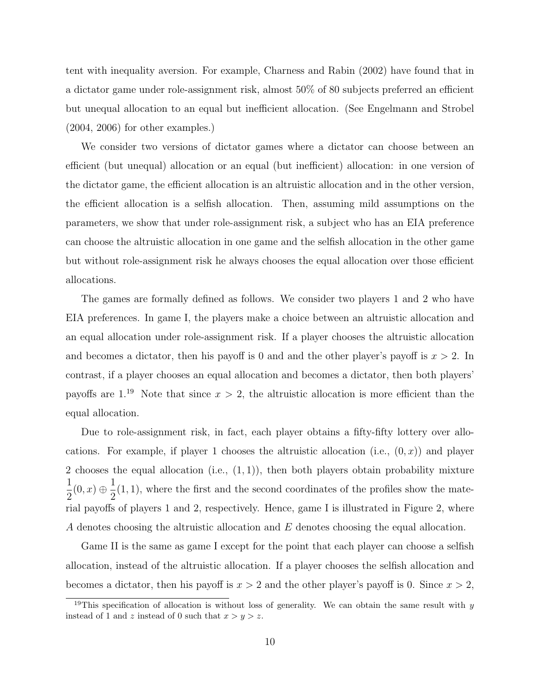tent with inequality aversion. For example, Charness and Rabin (2002) have found that in a dictator game under role-assignment risk, almost 50% of 80 subjects preferred an efficient but unequal allocation to an equal but inefficient allocation. (See Engelmann and Strobel (2004, 2006) for other examples.)

We consider two versions of dictator games where a dictator can choose between an efficient (but unequal) allocation or an equal (but inefficient) allocation: in one version of the dictator game, the efficient allocation is an altruistic allocation and in the other version, the efficient allocation is a selfish allocation. Then, assuming mild assumptions on the parameters, we show that under role-assignment risk, a subject who has an EIA preference can choose the altruistic allocation in one game and the selfish allocation in the other game but without role-assignment risk he always chooses the equal allocation over those efficient allocations.

The games are formally defined as follows. We consider two players 1 and 2 who have EIA preferences. In game I, the players make a choice between an altruistic allocation and an equal allocation under role-assignment risk. If a player chooses the altruistic allocation and becomes a dictator, then his payoff is 0 and and the other player's payoff is  $x > 2$ . In contrast, if a player chooses an equal allocation and becomes a dictator, then both players' payoffs are  $1^{19}$  Note that since  $x > 2$ , the altruistic allocation is more efficient than the equal allocation.

Due to role-assignment risk, in fact, each player obtains a fifty-fifty lottery over allocations. For example, if player 1 chooses the altruistic allocation (i.e.,  $(0, x)$ ) and player 2 chooses the equal allocation (i.e., (1*,* 1)), then both players obtain probability mixture 1  $\frac{1}{2}(0, x) \oplus$ 1 2 (1*,* 1), where the first and the second coordinates of the profiles show the material payoffs of players 1 and 2, respectively. Hence, game I is illustrated in Figure 2, where *A* denotes choosing the altruistic allocation and *E* denotes choosing the equal allocation.

Game II is the same as game I except for the point that each player can choose a selfish allocation, instead of the altruistic allocation. If a player chooses the selfish allocation and becomes a dictator, then his payoff is  $x > 2$  and the other player's payoff is 0. Since  $x > 2$ ,

<sup>&</sup>lt;sup>19</sup>This specification of allocation is without loss of generality. We can obtain the same result with  $y$ instead of 1 and *z* instead of 0 such that  $x > y > z$ .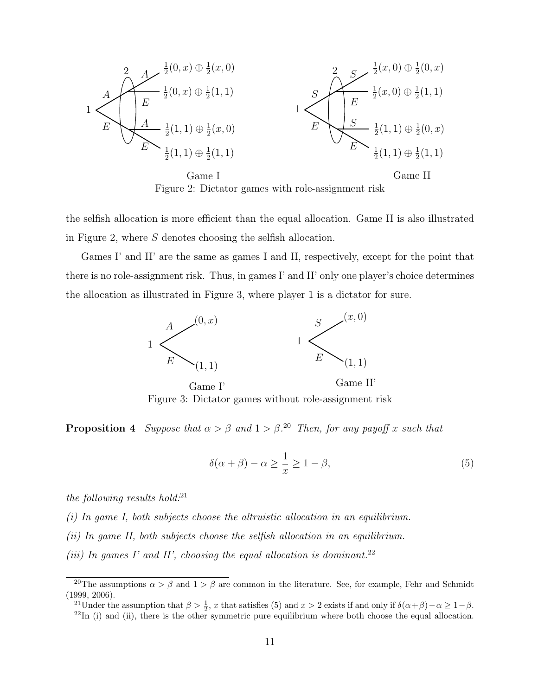

the selfish allocation is more efficient than the equal allocation. Game II is also illustrated in Figure 2, where *S* denotes choosing the selfish allocation.

Games I' and II' are the same as games I and II, respectively, except for the point that there is no role-assignment risk. Thus, in games I' and II' only one player's choice determines the allocation as illustrated in Figure 3, where player 1 is a dictator for sure.



Figure 3: Dictator games without role-assignment risk

**Proposition 4** *Suppose that*  $\alpha > \beta$  *and*  $1 > \beta$ .<sup>20</sup> *Then, for any payoff x such that* 

$$
\delta(\alpha + \beta) - \alpha \ge \frac{1}{x} \ge 1 - \beta,\tag{5}
$$

*the following results hold:*<sup>21</sup>

- *(i) In game I, both subjects choose the altruistic allocation in an equilibrium.*
- *(ii) In game II, both subjects choose the selfish allocation in an equilibrium.*
- *(iii) In games I' and II', choosing the equal allocation is dominant.*<sup>22</sup>

<sup>&</sup>lt;sup>20</sup>The assumptions  $\alpha > \beta$  and  $1 > \beta$  are common in the literature. See, for example, Fehr and Schmidt (1999, 2006).

<sup>&</sup>lt;sup>21</sup>Under the assumption that  $\beta > \frac{1}{2}$ , *x* that satisfies (5) and  $x > 2$  exists if and only if  $\delta(\alpha + \beta) - \alpha \ge 1 - \beta$ .  $^{22}$ In (i) and (ii), there is the other symmetric pure equilibrium where both choose the equal allocation.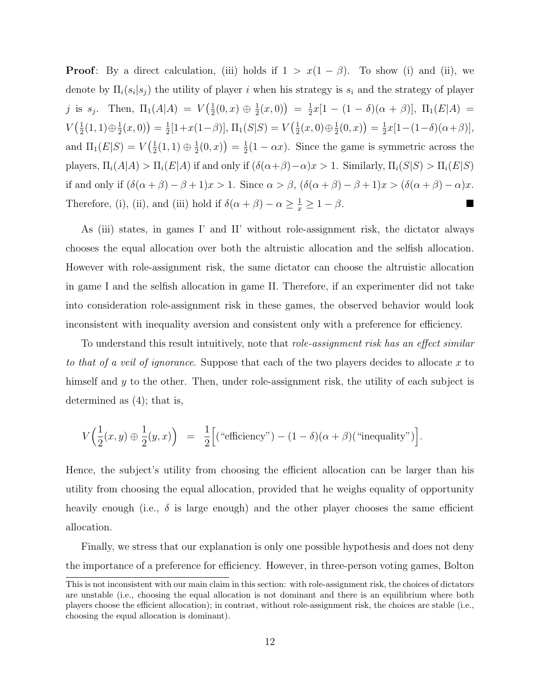**Proof**: By a direct calculation, (iii) holds if  $1 > x(1 - \beta)$ . To show (i) and (ii), we denote by  $\Pi_i(s_i|s_j)$  the utility of player *i* when his strategy is  $s_i$  and the strategy of player *j* is  $s_j$ . Then,  $\Pi_1(A|A) = V(\frac{1}{2})$  $\frac{1}{2}(0,x) \oplus \frac{1}{2}$  $\frac{1}{2}(x,0)$  =  $\frac{1}{2}$  $\frac{1}{2}x[1-(1-\delta)(\alpha+\beta)], \ \Pi_1(E|A) =$  $V\left(\frac{1}{2}\right)$  $\frac{1}{2}(1,1) \oplus \frac{1}{2}$  $\frac{1}{2}(x,0)\big) = \frac{1}{2}$  $\frac{1}{2}[1+x(1-\beta)], \Pi_1(S|S) = V(\frac{1}{2})$  $\frac{1}{2}(x,0) \oplus \frac{1}{2}$  $\frac{1}{2}(0,x)$  =  $\frac{1}{2}$  $\frac{1}{2}x[1-(1-\delta)(\alpha+\beta)],$ and  $\Pi_1(E|S) = V(\frac{1}{2})$  $\frac{1}{2}(1,1) \oplus \frac{1}{2}$  $\frac{1}{2}(0,x)\big) = \frac{1}{2}$  $\frac{1}{2}(1 - \alpha x)$ . Since the game is symmetric across the players,  $\Pi_i(A|A) > \Pi_i(E|A)$  if and only if  $(\delta(\alpha+\beta)-\alpha)x > 1$ . Similarly,  $\Pi_i(S|S) > \Pi_i(E|S)$ if and only if  $(\delta(\alpha + \beta) - \beta + 1)x > 1$ . Since  $\alpha > \beta$ ,  $(\delta(\alpha + \beta) - \beta + 1)x > (\delta(\alpha + \beta) - \alpha)x$ . Therefore, (i), (ii), and (iii) hold if  $\delta(\alpha + \beta) - \alpha \geq \frac{1}{x} \geq 1 - \beta$ .

As (iii) states, in games I' and II' without role-assignment risk, the dictator always chooses the equal allocation over both the altruistic allocation and the selfish allocation. However with role-assignment risk, the same dictator can choose the altruistic allocation in game I and the selfish allocation in game II. Therefore, if an experimenter did not take into consideration role-assignment risk in these games, the observed behavior would look inconsistent with inequality aversion and consistent only with a preference for efficiency.

To understand this result intuitively, note that *role-assignment risk has an effect similar to that of a veil of ignorance*. Suppose that each of the two players decides to allocate *x* to himself and *y* to the other. Then, under role-assignment risk, the utility of each subject is determined as (4); that is,

$$
V\Big(\frac{1}{2}(x,y)\oplus\frac{1}{2}(y,x)\Big) = \frac{1}{2}\Big[\big(\text{``efficiency''}\big) - (1-\delta)(\alpha+\beta)\big(\text{``inequality''}\big)\Big].
$$

Hence, the subject's utility from choosing the efficient allocation can be larger than his utility from choosing the equal allocation, provided that he weighs equality of opportunity heavily enough (i.e.,  $\delta$  is large enough) and the other player chooses the same efficient allocation.

Finally, we stress that our explanation is only one possible hypothesis and does not deny the importance of a preference for efficiency. However, in three-person voting games, Bolton

This is not inconsistent with our main claim in this section: with role-assignment risk, the choices of dictators are unstable (i.e., choosing the equal allocation is not dominant and there is an equilibrium where both players choose the efficient allocation); in contrast, without role-assignment risk, the choices are stable (i.e., choosing the equal allocation is dominant).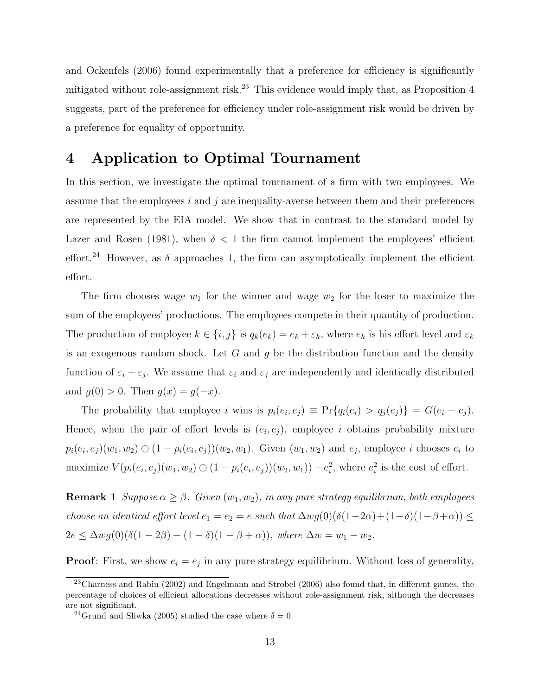and Ockenfels (2006) found experimentally that a preference for efficiency is significantly mitigated without role-assignment risk.<sup>23</sup> This evidence would imply that, as Proposition  $4$ suggests, part of the preference for efficiency under role-assignment risk would be driven by a preference for equality of opportunity.

# **4 Application to Optimal Tournament**

In this section, we investigate the optimal tournament of a firm with two employees. We assume that the employees *i* and *j* are inequality-averse between them and their preferences are represented by the EIA model. We show that in contrast to the standard model by Lazer and Rosen (1981), when  $\delta$  < 1 the firm cannot implement the employees' efficient effort.<sup>24</sup> However, as  $\delta$  approaches 1, the firm can asymptotically implement the efficient effort.

The firm chooses wage  $w_1$  for the winner and wage  $w_2$  for the loser to maximize the sum of the employees' productions. The employees compete in their quantity of production. The production of employee  $k \in \{i, j\}$  is  $q_k(e_k) = e_k + \varepsilon_k$ , where  $e_k$  is his effort level and  $\varepsilon_k$ is an exogenous random shock. Let *G* and *g* be the distribution function and the density function of  $\varepsilon_i - \varepsilon_j$ . We assume that  $\varepsilon_i$  and  $\varepsilon_j$  are independently and identically distributed and  $g(0) > 0$ . Then  $g(x) = g(-x)$ .

The probability that employee i wins is  $p_i(e_i, e_j) \equiv Pr\{q_i(e_i) > q_j(e_j)\} = G(e_i - e_j)$ . Hence, when the pair of effort levels is  $(e_i, e_j)$ , employee *i* obtains probability mixture  $p_i(e_i, e_j)(w_1, w_2) \oplus (1 - p_i(e_i, e_j))(w_2, w_1)$ . Given  $(w_1, w_2)$  and  $e_j$ , employee i chooses  $e_i$  to maximize  $V(p_i(e_i, e_j)(w_1, w_2) \oplus (1 - p_i(e_i, e_j))(w_2, w_1)) - e_i^2$ , where  $e_i^2$  is the cost of effort.

**Remark 1** *Suppose*  $\alpha \geq \beta$ *. Given*  $(w_1, w_2)$ *, in any pure strategy equilibrium, both employees choose an identical effort level*  $e_1 = e_2 = e$  *such that*  $\Delta wg(0)(\delta(1-2\alpha)+(1-\delta)(1-\beta+\alpha)) \le$  $2e \le \Delta wg(0)(\delta(1-2\beta) + (1-\delta)(1-\beta+\alpha))$ *, where*  $\Delta w = w_1 - w_2$ *.* 

**Proof**: First, we show  $e_i = e_j$  in any pure strategy equilibrium. Without loss of generality,

<sup>23</sup>Charness and Rabin (2002) and Engelmann and Strobel (2006) also found that, in different games, the percentage of choices of efficient allocations decreases without role-assignment risk, although the decreases are not significant.

<sup>&</sup>lt;sup>24</sup>Grund and Sliwka (2005) studied the case where  $\delta = 0$ .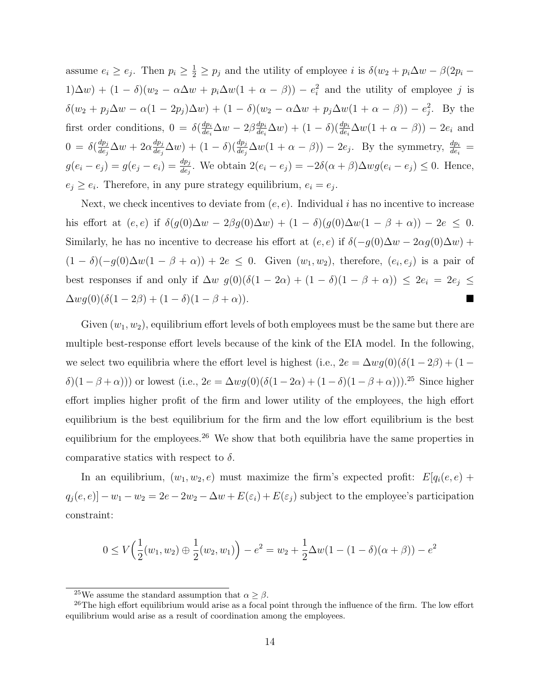assume  $e_i \ge e_j$ . Then  $p_i \ge \frac{1}{2} \ge p_j$  and the utility of employee i is  $\delta(w_2 + p_i \Delta w - \beta(2p_i -$ 1)∆*w*) + (1 − *δ*)(*w*<sub>2</sub> − *α*∆*w* + *p*<sub>*i*</sub>∆*w*(1 + *α* − *β*)) − *e*<sup>2</sup><sub>*i*</sub> and the utility of employee *j* is  $\delta(w_2 + p_j \Delta w - \alpha(1 - 2p_j)\Delta w) + (1 - \delta)(w_2 - \alpha \Delta w + p_j \Delta w(1 + \alpha - \beta)) - e_j^2$ . By the first order conditions,  $0 = \delta(\frac{dp_i}{de})$  $\frac{dp_i}{de_i}\Delta w - 2\beta \frac{dp_i}{de_i}$  $\frac{dp_i}{de_i}\Delta w$  + (1 *− δ*)( $\frac{dp_i}{de_i}\Delta w(1 + \alpha - \beta)$ ) – 2*ei* and  $0 = \delta(\frac{dp_j}{de_j})$  $\frac{dp_j}{de_j}\Delta w+2\alpha\frac{dp_j}{de_j}$  $\frac{dp_j}{de_j}\Delta w$  +  $(1-\delta)\left(\frac{dp_j}{de_j}\Delta w(1+\alpha-\beta)\right) - 2e_j$ . By the symmetry,  $\frac{dp_i}{de_i}$  =  $g(e_i - e_j) = g(e_j - e_i) = \frac{dp_j}{de_j}$ . We obtain  $2(e_i - e_j) = -2\delta(\alpha + \beta)\Delta wg(e_i - e_j) \leq 0$ . Hence,  $e_j \geq e_i$ . Therefore, in any pure strategy equilibrium,  $e_i = e_j$ .

Next, we check incentives to deviate from  $(e, e)$ . Individual *i* has no incentive to increase his effort at  $(e, e)$  if  $\delta(g(0)\Delta w - 2\beta g(0)\Delta w) + (1 - \delta)(g(0)\Delta w(1 - \beta + \alpha)) - 2e \leq 0$ . Similarly, he has no incentive to decrease his effort at  $(e, e)$  if  $\delta(-g(0)\Delta w - 2\alpha g(0)\Delta w)$  +  $(1 - \delta)(-g(0)\Delta w(1 - \beta + \alpha)) + 2e \leq 0$ . Given  $(w_1, w_2)$ , therefore,  $(e_i, e_j)$  is a pair of best responses if and only if ∆*w g*(0)(*δ*(1 *−* 2*α*) + (1 *− δ*)(1 *− β* + *α*)) *≤* 2*e<sup>i</sup>* = 2*e<sup>j</sup> ≤*  $\Delta wg(0)(\delta(1-2\beta)+(1-\delta)(1-\beta+\alpha)).$ 

Given  $(w_1, w_2)$ , equilibrium effort levels of both employees must be the same but there are multiple best-response effort levels because of the kink of the EIA model. In the following, we select two equilibria where the effort level is highest (i.e.,  $2e = \Delta w g(0)(\delta(1-2\beta) + (1-\delta)g(0))$ *δ*)(1 − *β* + *α*))) or lowest (i.e., 2*e* = Δ*wg*(0)(*δ*(1 − 2*α*) + (1 − *δ*)(1 − *β* + *α*))).<sup>25</sup> Since higher effort implies higher profit of the firm and lower utility of the employees, the high effort equilibrium is the best equilibrium for the firm and the low effort equilibrium is the best equilibrium for the employees.<sup>26</sup> We show that both equilibria have the same properties in comparative statics with respect to  $\delta$ .

In an equilibrium,  $(w_1, w_2, e)$  must maximize the firm's expected profit:  $E[q_i(e, e) +$  $q_j(e, e)$ ] *−*  $w_1 - w_2 = 2e - 2w_2 - \Delta w + E(\varepsilon_i) + E(\varepsilon_j)$  subject to the employee's participation constraint:

$$
0 \le V\left(\frac{1}{2}(w_1, w_2) \oplus \frac{1}{2}(w_2, w_1)\right) - e^2 = w_2 + \frac{1}{2}\Delta w(1 - (1 - \delta)(\alpha + \beta)) - e^2
$$

<sup>&</sup>lt;sup>25</sup>We assume the standard assumption that  $\alpha \geq \beta$ .

 $^{26}$ The high effort equilibrium would arise as a focal point through the influence of the firm. The low effort equilibrium would arise as a result of coordination among the employees.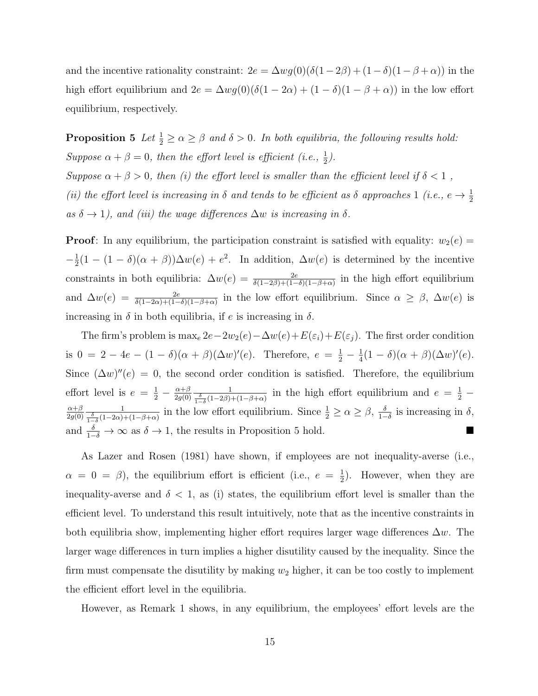and the incentive rationality constraint:  $2e = \Delta wg(0)(\delta(1-2\beta) + (1-\delta)(1-\beta+\alpha))$  in the high effort equilibrium and  $2e = \Delta wg(0)(\delta(1 - 2\alpha) + (1 - \delta)(1 - \beta + \alpha))$  in the low effort equilibrium, respectively.

**Proposition 5** *Let*  $\frac{1}{2} \ge \alpha \ge \beta$  *and*  $\delta > 0$ *. In both equilibria, the following results hold:* Suppose  $\alpha + \beta = 0$ , then the effort level is efficient (i.e.,  $\frac{1}{2}$ ). *Suppose*  $\alpha + \beta > 0$ *, then (i) the effort level is smaller than the efficient level if*  $\delta < 1$ *, (ii) the effort level is increasing in*  $\delta$  *and tends to be efficient as*  $\delta$  *approaches* 1 *(i.e.,*  $e \rightarrow \frac{1}{2}$  $as \delta \rightarrow 1$ , and (iii) the wage differences  $\Delta w$  is increasing in  $\delta$ .

**Proof**: In any equilibrium, the participation constraint is satisfied with equality:  $w_2(e)$  =  $-\frac{1}{2}$  $\frac{1}{2}(1 - (1 - \delta)(\alpha + \beta))\Delta w(e) + e^2$ . In addition,  $\Delta w(e)$  is determined by the incentive constraints in both equilibria:  $\Delta w(e) = \frac{2e}{\delta(1-2\beta)+(1-\delta)(1-\beta+\alpha)}$  in the high effort equilibrium and  $\Delta w(e) = \frac{2e}{\delta(1-2\alpha)+(1-\delta)(1-\beta+\alpha)}$  in the low effort equilibrium. Since  $\alpha \geq \beta$ ,  $\Delta w(e)$  is increasing in  $\delta$  in both equilibria, if *e* is increasing in  $\delta$ .

The firm's problem is  $\max_e 2e - 2w_2(e) - \Delta w(e) + E(\varepsilon_i) + E(\varepsilon_j)$ . The first order condition is  $0 = 2 - 4e - (1 - \delta)(\alpha + \beta)(\Delta w)'(e)$ . Therefore,  $e = \frac{1}{2} - \frac{1}{4}$  $\frac{1}{4}(1-\delta)(\alpha+\beta)(\Delta w)'(e).$ Since  $(\Delta w)''(e) = 0$ , the second order condition is satisfied. Therefore, the equilibrium effort level is  $e = \frac{1}{2} - \frac{\alpha + \beta}{2g(0)}$ 2*g*(0)  $\frac{1}{\frac{\delta}{1-\delta}(1-2\beta)+(1-\beta+\alpha)}$  in the high effort equilibrium and  $e=\frac{1}{2}-\frac{1}{2}$ *α*+*β* 2*g*(0)  $\frac{\delta}{1-\delta}(1-2\alpha)+(1-\beta+\alpha)$  in the low effort equilibrium. Since  $\frac{1}{2} \ge \alpha \ge \beta$ ,  $\frac{\delta}{1-\beta}$  $\frac{\delta}{1-\delta}$  is increasing in *δ*, and  $\frac{\delta}{1-\delta}$  → ∞ as  $\delta$  → 1, the results in Proposition 5 hold.

As Lazer and Rosen (1981) have shown, if employees are not inequality-averse (i.e.,  $\alpha = 0 = \beta$ ), the equilibrium effort is efficient (i.e.,  $e = \frac{1}{2}$  $(\frac{1}{2})$ . However, when they are inequality-averse and  $\delta$  < 1, as (i) states, the equilibrium effort level is smaller than the efficient level. To understand this result intuitively, note that as the incentive constraints in both equilibria show, implementing higher effort requires larger wage differences ∆*w*. The larger wage differences in turn implies a higher disutility caused by the inequality. Since the firm must compensate the disutility by making  $w_2$  higher, it can be too costly to implement the efficient effort level in the equilibria.

However, as Remark 1 shows, in any equilibrium, the employees' effort levels are the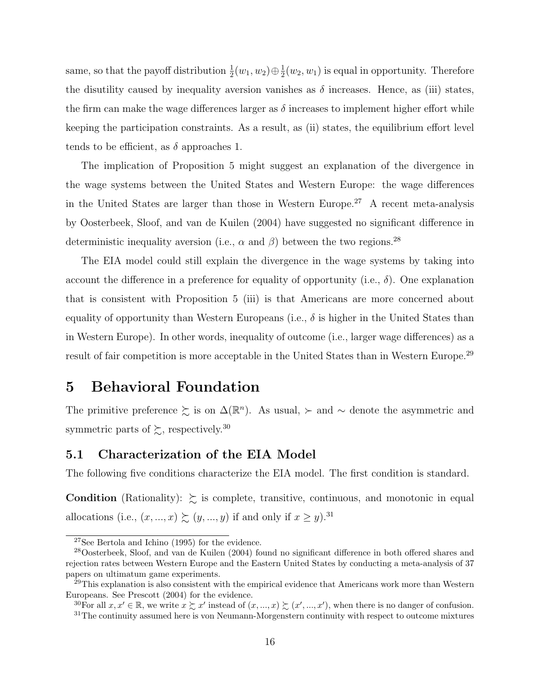same, so that the payoff distribution  $\frac{1}{2}(w_1, w_2) \oplus \frac{1}{2}$  $\frac{1}{2}(w_2, w_1)$  is equal in opportunity. Therefore the disutility caused by inequality aversion vanishes as  $\delta$  increases. Hence, as (iii) states, the firm can make the wage differences larger as *δ* increases to implement higher effort while keeping the participation constraints. As a result, as (ii) states, the equilibrium effort level tends to be efficient, as  $\delta$  approaches 1.

The implication of Proposition 5 might suggest an explanation of the divergence in the wage systems between the United States and Western Europe: the wage differences in the United States are larger than those in Western Europe.<sup>27</sup> A recent meta-analysis by Oosterbeek, Sloof, and van de Kuilen (2004) have suggested no significant difference in deterministic inequality aversion (i.e.,  $\alpha$  and  $\beta$ ) between the two regions.<sup>28</sup>

The EIA model could still explain the divergence in the wage systems by taking into account the difference in a preference for equality of opportunity (i.e.,  $\delta$ ). One explanation that is consistent with Proposition 5 (iii) is that Americans are more concerned about equality of opportunity than Western Europeans (i.e.,  $\delta$  is higher in the United States than in Western Europe). In other words, inequality of outcome (i.e., larger wage differences) as a result of fair competition is more acceptable in the United States than in Western Europe.<sup>29</sup>

### **5 Behavioral Foundation**

The primitive preference  $\sum$  is on  $\Delta(\mathbb{R}^n)$ . As usual,  $\succ$  and  $\sim$  denote the asymmetric and symmetric parts of  $\gtrsim$ , respectively.<sup>30</sup>

### **5.1 Characterization of the EIA Model**

The following five conditions characterize the EIA model. The first condition is standard.

**Condition** (Rationality):  $\geq$  is complete, transitive, continuous, and monotonic in equal allocations (i.e.,  $(x, ..., x) \succeq (y, ..., y)$  if and only if  $x \ge y$ ).<sup>31</sup>

<sup>&</sup>lt;sup>27</sup>See Bertola and Ichino (1995) for the evidence.

<sup>28</sup>Oosterbeek, Sloof, and van de Kuilen (2004) found no significant difference in both offered shares and rejection rates between Western Europe and the Eastern United States by conducting a meta-analysis of 37 papers on ultimatum game experiments.

 $29$ This explanation is also consistent with the empirical evidence that Americans work more than Western Europeans. See Prescott (2004) for the evidence.

<sup>&</sup>lt;sup>30</sup>For all  $x, x' \in \mathbb{R}$ , we write  $x \succsim x'$  instead of  $(x, ..., x) \succsim (x', ..., x')$ , when there is no danger of confusion.

 $31$ The continuity assumed here is von Neumann-Morgenstern continuity with respect to outcome mixtures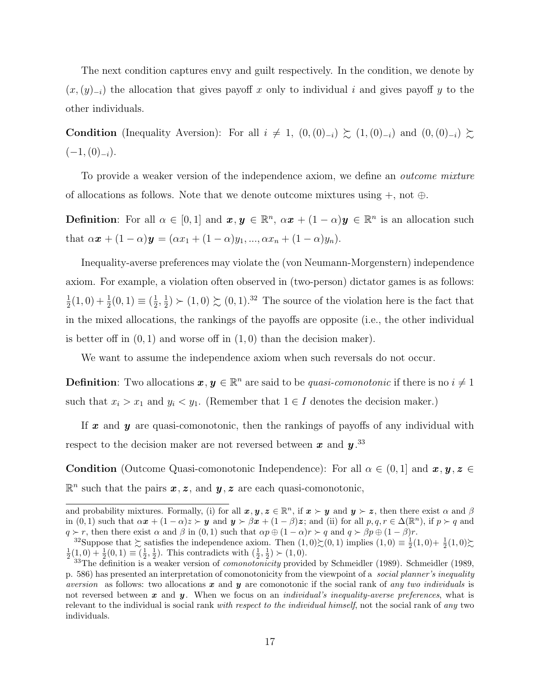The next condition captures envy and guilt respectively. In the condition, we denote by  $(x,(y)_{-i})$  the allocation that gives payoff x only to individual i and gives payoff y to the other individuals.

**Condition** (Inequality Aversion): For all  $i \neq 1$ ,  $(0, (0)_{-i}) \succeq (1, (0)_{-i})$  and  $(0, (0)_{-i}) \succeq$ (*−*1*,*(0)*−<sup>i</sup>*).

To provide a weaker version of the independence axiom, we define an *outcome mixture* of allocations as follows. Note that we denote outcome mixtures using +, not *⊕*.

**Definition**: For all  $\alpha \in [0,1]$  and  $\mathbf{x}, \mathbf{y} \in \mathbb{R}^n$ ,  $\alpha \mathbf{x} + (1-\alpha)\mathbf{y} \in \mathbb{R}^n$  is an allocation such that  $\alpha x + (1 - \alpha)y = (\alpha x_1 + (1 - \alpha)y_1, ..., \alpha x_n + (1 - \alpha)y_n)$ .

Inequality-averse preferences may violate the (von Neumann-Morgenstern) independence axiom. For example, a violation often observed in (two-person) dictator games is as follows: 1  $\frac{1}{2}(1,0) + \frac{1}{2}(0,1) \equiv (\frac{1}{2})$  $\frac{1}{2}, \frac{1}{2}$  $\frac{1}{2}$  > (1,0)  $\gtrsim$  (0,1).<sup>32</sup> The source of the violation here is the fact that in the mixed allocations, the rankings of the payoffs are opposite (i.e., the other individual is better off in  $(0, 1)$  and worse off in  $(1, 0)$  than the decision maker).

We want to assume the independence axiom when such reversals do not occur.

**Definition**: Two allocations  $x, y \in \mathbb{R}^n$  are said to be *quasi-comonotonic* if there is no  $i \neq 1$ such that  $x_i > x_1$  and  $y_i < y_1$ . (Remember that  $1 \in I$  denotes the decision maker.)

If *x* and *y* are quasi-comonotonic, then the rankings of payoffs of any individual with respect to the decision maker are not reversed between *x* and *y* . 33

**Condition** (Outcome Quasi-comonotonic Independence): For all  $\alpha \in (0,1]$  and  $\mathbf{x}, \mathbf{y}, \mathbf{z} \in$  $\mathbb{R}^n$  such that the pairs  $x, z$ , and  $y, z$  are each quasi-comonotonic,

and probability mixtures. Formally, (i) for all  $x, y, z \in \mathbb{R}^n$ , if  $x \succ y$  and  $y \succ z$ , then there exist  $\alpha$  and  $\beta$ in (0, 1) such that  $\alpha x + (1 - \alpha)z > y$  and  $y > \beta x + (1 - \beta)z$ ; and (ii) for all  $p, q, r \in \Delta(\mathbb{R}^n)$ , if  $p > q$  and  $q \succ r$ , then there exist  $\alpha$  and  $\beta$  in (0, 1) such that  $\alpha p \oplus (1 - \alpha)r \succ q$  and  $q \succ \beta p \oplus (1 - \beta)r$ .

<sup>&</sup>lt;sup>32</sup>Suppose that  $\gtrsim$  satisfies the independence axiom. Then  $(1,0)\zeta(0,1)$  implies  $(1,0) \equiv \frac{1}{2}(1,0) + \frac{1}{2}(1,0)\zeta$  $\frac{1}{2}(1,0) + \frac{1}{2}(0,1) \equiv (\frac{1}{2},\frac{1}{2})$ . This contradicts with  $(\frac{1}{2},\frac{1}{2}) \succ (1,0)$ .

<sup>33</sup>The definition is a weaker version of *comonotonicity* provided by Schmeidler (1989). Schmeidler (1989, p. 586) has presented an interpretation of comonotonicity from the viewpoint of a *social planner's inequality aversion* as follows: two allocations *x* and *y* are comonotonic if the social rank of *any two individuals* is not reversed between *x* and *y* . When we focus on an *individual's inequality-averse preferences*, what is relevant to the individual is social rank *with respect to the individual himself*, not the social rank of *any* two individuals.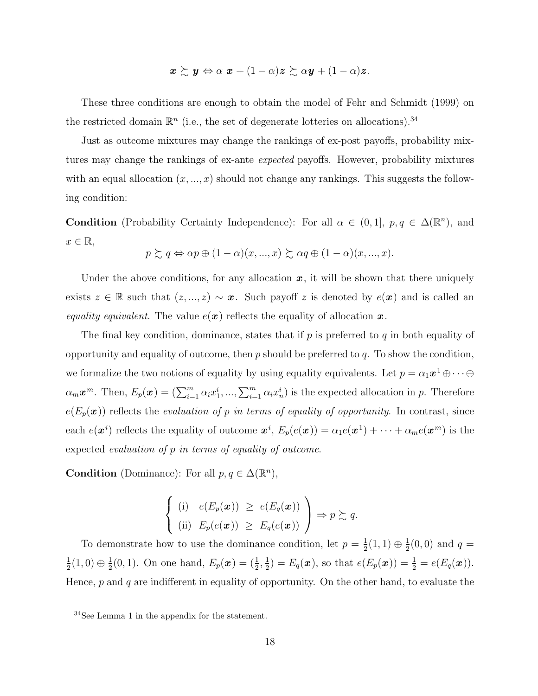$$
\boldsymbol{x} \succsim \boldsymbol{y} \Leftrightarrow \alpha \boldsymbol{x} + (1-\alpha)\boldsymbol{z} \succsim \alpha \boldsymbol{y} + (1-\alpha)\boldsymbol{z}.
$$

These three conditions are enough to obtain the model of Fehr and Schmidt (1999) on the restricted domain  $\mathbb{R}^n$  (i.e., the set of degenerate lotteries on allocations).<sup>34</sup>

Just as outcome mixtures may change the rankings of ex-post payoffs, probability mixtures may change the rankings of ex-ante *expected* payoffs. However, probability mixtures with an equal allocation  $(x, ..., x)$  should not change any rankings. This suggests the following condition:

**Condition** (Probability Certainty Independence): For all  $\alpha \in (0,1]$ ,  $p, q \in \Delta(\mathbb{R}^n)$ , and  $x \in \mathbb{R}$ ,

$$
p \succsim q \Leftrightarrow \alpha p \oplus (1-\alpha)(x,...,x) \succsim \alpha q \oplus (1-\alpha)(x,...,x).
$$

Under the above conditions, for any allocation  $x$ , it will be shown that there uniquely exists  $z \in \mathbb{R}$  such that  $(z, ..., z) \sim x$ . Such payoff  $z$  is denoted by  $e(x)$  and is called an *equality equivalent*. The value  $e(x)$  reflects the equality of allocation x.

The final key condition, dominance, states that if *p* is preferred to *q* in both equality of opportunity and equality of outcome, then *p* should be preferred to *q*. To show the condition, we formalize the two notions of equality by using equality equivalents. Let  $p = \alpha_1 \mathbf{x}^1 \oplus \cdots \oplus$  $\alpha_m \boldsymbol{x}^m$ . Then,  $E_p(\boldsymbol{x}) = (\sum_{i=1}^m \alpha_i x_1^i, ..., \sum_{i=1}^m \alpha_i x_n^i)$  is the expected allocation in p. Therefore  $e(E_p(\boldsymbol{x}))$  reflects the *evaluation of p in terms of equality of opportunity*. In contrast, since each  $e(\boldsymbol{x}^i)$  reflects the equality of outcome  $\boldsymbol{x}^i$ ,  $E_p(e(\boldsymbol{x})) = \alpha_1 e(\boldsymbol{x}^1) + \cdots + \alpha_m e(\boldsymbol{x}^m)$  is the expected *evaluation of p in terms of equality of outcome*.

**Condition** (Dominance): For all  $p, q \in \Delta(\mathbb{R}^n)$ ,

$$
\begin{cases}\n(i) & e(E_p(\boldsymbol{x})) \geq e(E_q(\boldsymbol{x})) \\
(ii) & E_p(e(\boldsymbol{x})) \geq E_q(e(\boldsymbol{x}))\n\end{cases} \Rightarrow p \succsim q.
$$

To demonstrate how to use the dominance condition, let  $p = \frac{1}{2}$  $\frac{1}{2}(1,1)\oplus\frac{1}{2}$  $\frac{1}{2}(0,0)$  and  $q=$ 1  $\frac{1}{2}(1,0) \oplus \frac{1}{2}$  $\frac{1}{2}(0,1)$ . On one hand,  $E_p(x) = (\frac{1}{2}, \frac{1}{2})$  $\frac{1}{2}$ ) =  $E_q(\mathbf{x})$ , so that  $e(E_p(\mathbf{x})) = \frac{1}{2} = e(E_q(\mathbf{x}))$ . Hence, *p* and *q* are indifferent in equality of opportunity. On the other hand, to evaluate the

<sup>34</sup>See Lemma 1 in the appendix for the statement.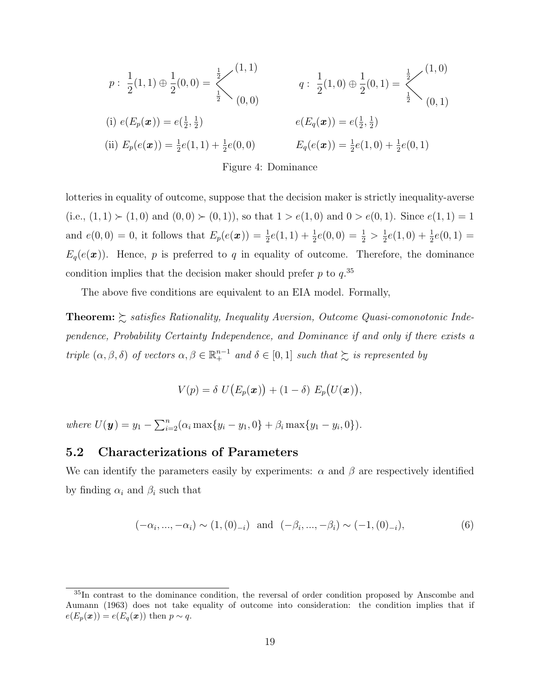$$
p: \frac{1}{2}(1,1) \oplus \frac{1}{2}(0,0) = \begin{cases} \frac{1}{2} & (1,1) \\ \frac{1}{2} & (0,0) \end{cases}
$$
\n
$$
(i) e(E_p(\boldsymbol{x})) = e(\frac{1}{2},\frac{1}{2})
$$
\n
$$
(ii) E_p(e(\boldsymbol{x})) = \frac{1}{2}e(1,1) + \frac{1}{2}e(0,0)
$$
\n
$$
E_q(e(\boldsymbol{x})) = \frac{1}{2}e(1,0) + \frac{1}{2}e(0,1)
$$
\n
$$
(iii) E_p(e(\boldsymbol{x})) = \frac{1}{2}e(1,1) + \frac{1}{2}e(0,0)
$$
\n
$$
E_q(e(\boldsymbol{x})) = \frac{1}{2}e(1,0) + \frac{1}{2}e(0,1)
$$

Figure 4: Dominance

lotteries in equality of outcome, suppose that the decision maker is strictly inequality-averse  $(i.e., (1,1)$  ≻  $(1,0)$  and  $(0,0)$  ≻  $(0,1)$ ), so that  $1 > e(1,0)$  and  $0 > e(0,1)$ . Since  $e(1,1) = 1$ and  $e(0,0) = 0$ , it follows that  $E_p(e(x)) = \frac{1}{2}e(1,1) + \frac{1}{2}e(0,0) = \frac{1}{2} > \frac{1}{2}$  $\frac{1}{2}e(1,0) + \frac{1}{2}e(0,1) =$  $E_q(e(\boldsymbol{x}))$ . Hence, *p* is preferred to *q* in equality of outcome. Therefore, the dominance condition implies that the decision maker should prefer *p* to *q*. 35

The above five conditions are equivalent to an EIA model. Formally,

**Theorem:** % *satisfies Rationality, Inequality Aversion, Outcome Quasi-comonotonic Independence, Probability Certainty Independence, and Dominance if and only if there exists a triple*  $(\alpha, \beta, \delta)$  *of vectors*  $\alpha, \beta \in \mathbb{R}^{n-1}$  *and*  $\delta \in [0,1]$  *such that*  $\succsim$  *is represented by* 

$$
V(p) = \delta U(E_p(\boldsymbol{x})) + (1 - \delta) E_p(U(\boldsymbol{x})),
$$

where  $U(\mathbf{y}) = y_1 - \sum_{i=2}^n (\alpha_i \max\{y_i - y_1, 0\} + \beta_i \max\{y_1 - y_i, 0\}).$ 

### **5.2 Characterizations of Parameters**

We can identify the parameters easily by experiments:  $\alpha$  and  $\beta$  are respectively identified by finding  $\alpha_i$  and  $\beta_i$  such that

$$
(-\alpha_i, ..., -\alpha_i) \sim (1, (0)_{-i}) \text{ and } (-\beta_i, ..., -\beta_i) \sim (-1, (0)_{-i}),
$$
 (6)

<sup>&</sup>lt;sup>35</sup>In contrast to the dominance condition, the reversal of order condition proposed by Anscombe and Aumann (1963) does not take equality of outcome into consideration: the condition implies that if  $e(E_p(\boldsymbol{x})) = e(E_q(\boldsymbol{x}))$  then  $p \sim q$ .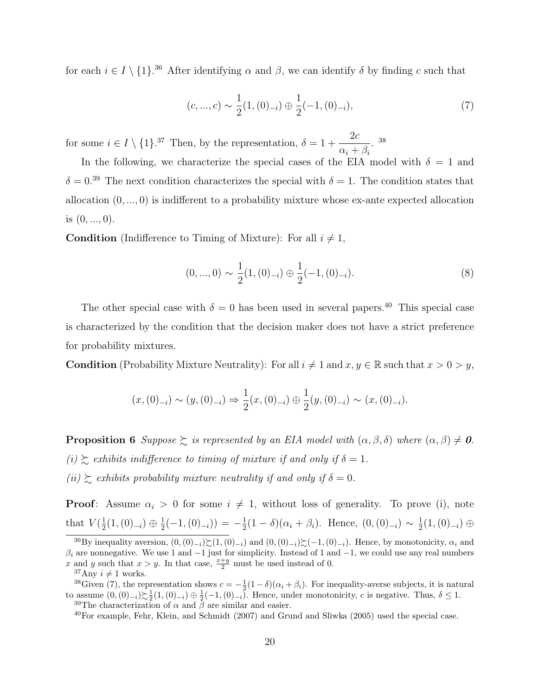for each  $i \in I \setminus \{1\}$ .<sup>36</sup> After identifying  $\alpha$  and  $\beta$ , we can identify  $\delta$  by finding  $c$  such that

$$
(c, ..., c) \sim \frac{1}{2}(1, (0)_{-i}) \oplus \frac{1}{2}(-1, (0)_{-i}),
$$
\n(7)

for some  $i \in I \setminus \{1\}$ .<sup>37</sup> Then, by the representation,  $\delta = 1 + \frac{2c}{\sigma}$  $\alpha_i + \beta_i$ . 38

In the following, we characterize the special cases of the EIA model with  $\delta = 1$  and  $\delta = 0.^{39}$  The next condition characterizes the special with  $\delta = 1$ . The condition states that allocation (0*, ...,* 0) is indifferent to a probability mixture whose ex-ante expected allocation is (0*, ...,* 0).

**Condition** (Indifference to Timing of Mixture): For all  $i \neq 1$ ,

$$
(0, ..., 0) \sim \frac{1}{2}(1, (0)_{-i}) \oplus \frac{1}{2}(-1, (0)_{-i}).
$$
\n(8)

The other special case with  $\delta = 0$  has been used in several papers.<sup>40</sup> This special case is characterized by the condition that the decision maker does not have a strict preference for probability mixtures.

**Condition** (Probability Mixture Neutrality): For all  $i \neq 1$  and  $x, y \in \mathbb{R}$  such that  $x > 0 > y$ ,

$$
(x,(0)_{-i}) \sim (y,(0)_{-i}) \Rightarrow \frac{1}{2}(x,(0)_{-i}) \oplus \frac{1}{2}(y,(0)_{-i}) \sim (x,(0)_{-i}).
$$

**Proposition 6** *Suppose*  $\geq$  *is represented by an EIA model with*  $(\alpha, \beta, \delta)$  *where*  $(\alpha, \beta) \neq 0$ *.*  $(i) \succeq$  *exhibits indifference to timing of mixture if and only if*  $\delta = 1$ *.* 

 $(iii) \succeq$  *exhibits probability mixture neutrality if and only if*  $\delta = 0$ *.* 

**Proof**: Assume  $\alpha_i > 0$  for some  $i \neq 1$ , without loss of generality. To prove (i), note that  $V(\frac{1}{2})$  $\frac{1}{2}(1,(0)_{-i}) \oplus \frac{1}{2}$  $\frac{1}{2}(-1,(0)_{-i}) = -\frac{1}{2}$  $\frac{1}{2}(1 - \delta)(\alpha_i + \beta_i)$ . Hence,  $(0, (0)_{-i}) \sim \frac{1}{2}$ 2 (1*,*(0)*−<sup>i</sup>*) *⊕*

<sup>&</sup>lt;sup>36</sup>By inequality aversion,  $(0, (0)_{-i}) \geq (1, (0)_{-i})$  and  $(0, (0)_{-i}) \geq (-1, (0)_{-i})$ . Hence, by monotonicity,  $\alpha_i$  and *β<sup>i</sup>* are nonnegative. We use 1 and *−*1 just for simplicity. Instead of 1 and *−*1, we could use any real numbers *x* and *y* such that  $x > y$ . In that case,  $\frac{x+y}{2}$  must be used instead of 0.

<sup>&</sup>lt;sup>37</sup>Any  $i \neq 1$  works.

<sup>&</sup>lt;sup>38</sup>Given (7), the representation shows  $c = -\frac{1}{2}(1-\delta)(\alpha_i + \beta_i)$ . For inequality-averse subjects, it is natural to assume  $(0, (0)_{-i}) \succsim \frac{1}{2}(1, (0)_{-i}) \oplus \frac{1}{2}(-1, (0)_{-i})$ . Hence, under monotonicity, *c* is negative. Thus,  $\delta \leq 1$ . <sup>39</sup>The characterization of  $\alpha$  and  $\bar{\beta}$  are similar and easier.

<sup>40</sup>For example, Fehr, Klein, and Schmidt (2007) and Grund and Sliwka (2005) used the special case.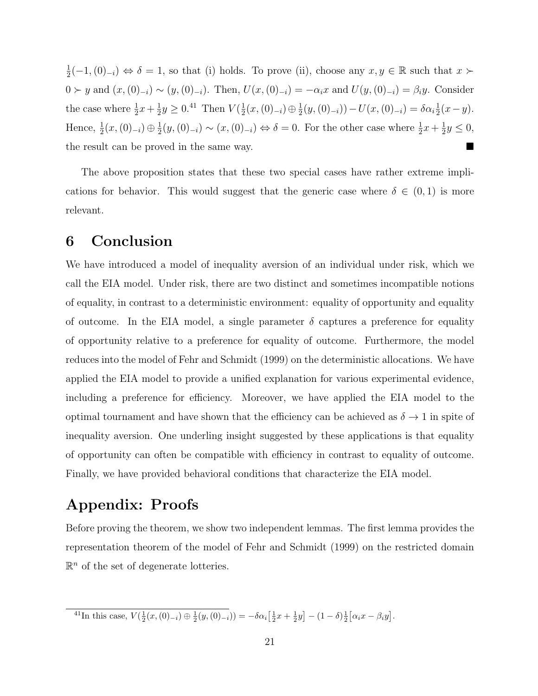1  $\frac{1}{2}(-1, (0)_{-i}) \Leftrightarrow \delta = 1$ , so that (i) holds. To prove (ii), choose any  $x, y \in \mathbb{R}$  such that  $x \succ \delta$  $0 \succ y$  and  $(x, (0)_{-i}) \sim (y, (0)_{-i})$ . Then,  $U(x, (0)_{-i}) = -\alpha_i x$  and  $U(y, (0)_{-i}) = \beta_i y$ . Consider the case where  $\frac{1}{2}x + \frac{1}{2}$  $\frac{1}{2}y \geq 0.41$  Then  $V(\frac{1}{2})$  $\frac{1}{2}(x,(0)_{-i})\oplus\frac{1}{2}$  $\frac{1}{2}(y,(0)_{-i})) - U(x,(0)_{-i}) = \delta \alpha_i \frac{1}{2}$  $rac{1}{2}(x-y).$ Hence,  $\frac{1}{2}(x,(0)_{-i}) \oplus \frac{1}{2}$  $\frac{1}{2}(y,(0)_{-i}) \sim (x,(0)_{-i}) \Leftrightarrow \delta = 0.$  For the other case where  $\frac{1}{2}x + \frac{1}{2}$  $\frac{1}{2}y \leq 0,$ the result can be proved in the same way.

The above proposition states that these two special cases have rather extreme implications for behavior. This would suggest that the generic case where  $\delta \in (0,1)$  is more relevant.

### **6 Conclusion**

We have introduced a model of inequality aversion of an individual under risk, which we call the EIA model. Under risk, there are two distinct and sometimes incompatible notions of equality, in contrast to a deterministic environment: equality of opportunity and equality of outcome. In the EIA model, a single parameter  $\delta$  captures a preference for equality of opportunity relative to a preference for equality of outcome. Furthermore, the model reduces into the model of Fehr and Schmidt (1999) on the deterministic allocations. We have applied the EIA model to provide a unified explanation for various experimental evidence, including a preference for efficiency. Moreover, we have applied the EIA model to the optimal tournament and have shown that the efficiency can be achieved as  $\delta \to 1$  in spite of inequality aversion. One underling insight suggested by these applications is that equality of opportunity can often be compatible with efficiency in contrast to equality of outcome. Finally, we have provided behavioral conditions that characterize the EIA model.

# **Appendix: Proofs**

Before proving the theorem, we show two independent lemmas. The first lemma provides the representation theorem of the model of Fehr and Schmidt (1999) on the restricted domain  $\mathbb{R}^n$  of the set of degenerate lotteries.

<sup>&</sup>lt;sup>41</sup>In this case,  $V(\frac{1}{2}(x,(0)_{-i}) \oplus \frac{1}{2}(y,(0)_{-i})) = -\delta \alpha_i \left[\frac{1}{2}x + \frac{1}{2}y\right] - (1-\delta)\frac{1}{2} \left[\alpha_i x - \beta_i y\right]$ .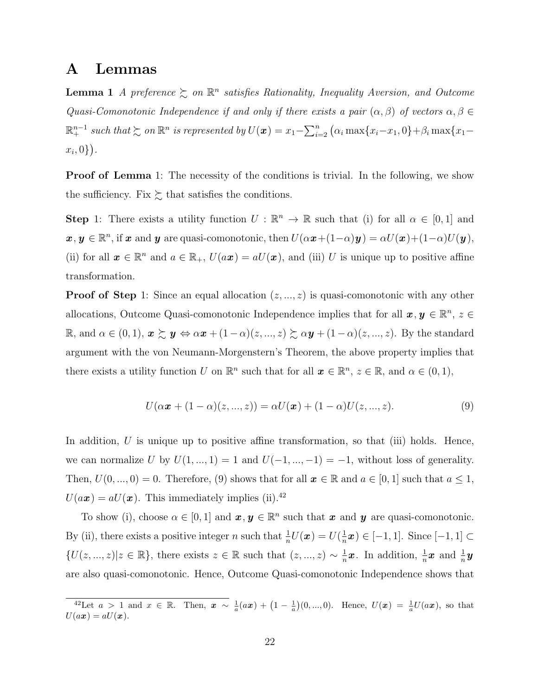### **A Lemmas**

**Lemma 1** *A preference*  $\geq$  *on*  $\mathbb{R}^n$  *satisfies Rationality, Inequality Aversion, and Outcome Quasi-Comonotonic Independence if and only if there exists a pair*  $(\alpha, \beta)$  *of vectors*  $\alpha, \beta \in$  $\mathbb{R}^{n-1}_+$  such that  $\succsim$  on  $\mathbb{R}^n$  is represented by  $U(\boldsymbol{x})=x_1-\sum_{i=2}^n\big(\alpha_i\max\{x_i-x_1,0\}+\beta_i\max\{x_1-\alpha_i\})$ *xi ,* 0*}* ) *.*

**Proof of Lemma** 1: The necessity of the conditions is trivial. In the following, we show the sufficiency. Fix  $\succsim$  that satisfies the conditions.

**Step** 1: There exists a utility function  $U : \mathbb{R}^n \to \mathbb{R}$  such that (i) for all  $\alpha \in [0,1]$  and  $\boldsymbol{x}, \boldsymbol{y} \in \mathbb{R}^n$ , if  $\boldsymbol{x}$  and  $\boldsymbol{y}$  are quasi-comonotonic, then  $U(\alpha \boldsymbol{x} + (1-\alpha)\boldsymbol{y}) = \alpha U(\boldsymbol{x}) + (1-\alpha)U(\boldsymbol{y}),$ (ii) for all  $x \in \mathbb{R}^n$  and  $a \in \mathbb{R}_+$ ,  $U(a\mathbf{x}) = aU(\mathbf{x})$ , and (iii) *U* is unique up to positive affine transformation.

**Proof of Step** 1: Since an equal allocation  $(z, ..., z)$  is quasi-comonotonic with any other allocations, Outcome Quasi-comonotonic Independence implies that for all  $x, y \in \mathbb{R}^n$ ,  $z \in$  $\mathbb{R}$ , and *α* ∈ (0, 1),  $\boldsymbol{x} \succsim \boldsymbol{y} \Leftrightarrow \alpha \boldsymbol{x} + (1 - \alpha)(z, ..., z) \succsim \alpha \boldsymbol{y} + (1 - \alpha)(z, ..., z)$ . By the standard argument with the von Neumann-Morgenstern's Theorem, the above property implies that there exists a utility function *U* on  $\mathbb{R}^n$  such that for all  $\mathbf{x} \in \mathbb{R}^n$ ,  $z \in \mathbb{R}$ , and  $\alpha \in (0,1)$ ,

$$
U(\alpha \mathbf{x} + (1 - \alpha)(z, ..., z)) = \alpha U(\mathbf{x}) + (1 - \alpha)U(z, ..., z).
$$
 (9)

In addition, U is unique up to positive affine transformation, so that (iii) holds. Hence, we can normalize *U* by  $U(1, ..., 1) = 1$  and  $U(-1, ..., -1) = -1$ , without loss of generality. Then,  $U(0, ..., 0) = 0$ . Therefore, (9) shows that for all  $x \in \mathbb{R}$  and  $a \in [0, 1]$  such that  $a \le 1$ ,  $U(a\boldsymbol{x}) = aU(\boldsymbol{x})$ . This immediately implies (ii).<sup>42</sup>

To show (i), choose  $\alpha \in [0, 1]$  and  $\mathbf{x}, \mathbf{y} \in \mathbb{R}^n$  such that  $\mathbf{x}$  and  $\mathbf{y}$  are quasi-comonotonic. By (ii), there exists a positive integer *n* such that  $\frac{1}{n}U(\boldsymbol{x}) = U(\frac{1}{n})$ *n x* ) *∈* [*−*1*,* 1]. Since [*−*1*,* 1] *⊂ {U*(*z*, ..., *z*)|*z* ∈ R<sup>*}*</sup>, there exists *z* ∈ R such that  $(z, ..., z)$  ∼  $\frac{1}{n}$  $\frac{1}{n}$ *x*. In addition,  $\frac{1}{n}$ *x* and  $\frac{1}{n}$ *y* are also quasi-comonotonic. Hence, Outcome Quasi-comonotonic Independence shows that

<sup>&</sup>lt;sup>42</sup>Let *a* > 1 and *x* ∈ ℝ. Then,  $x \sim \frac{1}{a}(a x) + (1 - \frac{1}{a})(0, ..., 0)$ . Hence,  $U(x) = \frac{1}{a}U(a x)$ , so that  $U(a\boldsymbol{x}) = aU(\boldsymbol{x}).$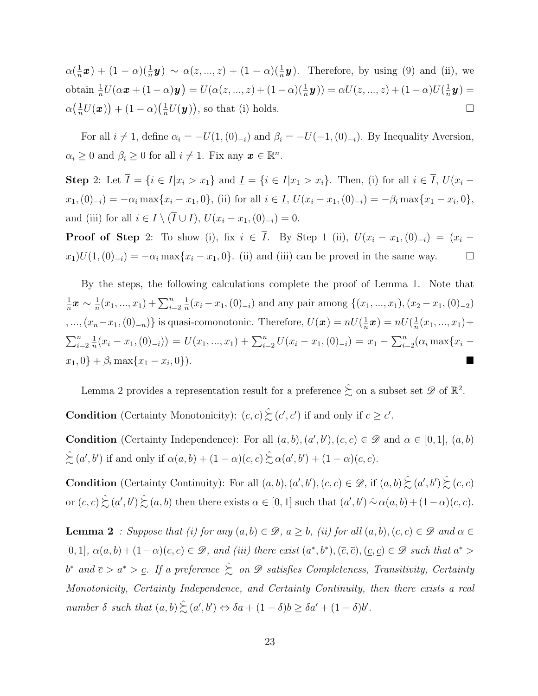$\alpha(\frac{1}{n})$  $\frac{1}{n}$ *x*) + (1 − *α*)( $\frac{1}{n}$ *y*) ~ *α*(*z*, ..., *z*) + (1 − *α*)( $\frac{1}{n}$ *y*). Therefore, by using (9) and (ii), we obtain  $\frac{1}{n}U(\alpha \bm{x} + (1 - \alpha)\bm{y}) = U(\alpha(z, ..., z) + (1 - \alpha)(\frac{1}{n}\bm{y})) = \alpha U(z, ..., z) + (1 - \alpha)U(\frac{1}{n}\alpha)$  $\frac{1}{n}$ y) =  $\alpha\left(\frac{1}{n}\right)$  $\frac{1}{n}U(\boldsymbol{x})\big) + (1-\alpha)\big(\frac{1}{n}$  $\frac{1}{n}U(\mathbf{y})$ , so that (i) holds.

For all  $i \neq 1$ , define  $\alpha_i = -U(1, (0)_{-i})$  and  $\beta_i = -U(-1, (0)_{-i})$ . By Inequality Aversion,  $\alpha_i \geq 0$  and  $\beta_i \geq 0$  for all  $i \neq 1$ . Fix any  $\boldsymbol{x} \in \mathbb{R}^n$ .

**Step** 2: Let  $\overline{I} = \{i \in I | x_i > x_1\}$  and  $\underline{I} = \{i \in I | x_1 > x_i\}$ . Then, (i) for all  $i \in \overline{I}$ ,  $U(x_i$  $x_1$ ,  $(0)_{-i}$  =  $-\alpha_i \max\{x_i - x_1, 0\}$ , (ii) for all  $i \in I$ ,  $U(x_i - x_1, (0)_{-i}) = -\beta_i \max\{x_1 - x_i, 0\}$ , and (iii) for all  $i \in I \setminus (\overline{I} \cup \underline{I})$ ,  $U(x_i - x_1, (0)_{-i}) = 0$ .

**Proof of Step** 2: To show (i), fix  $i \in \overline{I}$ . By Step 1 (ii),  $U(x_i - x_1, (0)_{-i}) = (x_i$ *x*<sub>1</sub>)*U*(1*,*(0)<sub>*−i*</sub>) = *−α*<sup>*i*</sup> max{*x<sub>i</sub>* − *x*<sub>1</sub>, 0}. (ii) and (iii) can be proved in the same way.  $\Box$ 

By the steps, the following calculations complete the proof of Lemma 1. Note that 1  $\frac{1}{n}$  $\bm{x}$  ∼  $\frac{1}{n}$  $\frac{1}{n}(x_1, ..., x_1) + \sum_{i=2}^n$ 1  $\frac{1}{n}(x_i - x_1, (0)_{-i})$  and any pair among  $\{(x_1, ..., x_1), (x_2 - x_1, (0)_{-2})\}$ *,* ...,  $(x_n - x_1, (0)_{-n})$ } is quasi-comonotonic. Therefore,  $U(x) = nU(\frac{1}{n})$  $\frac{1}{n} \boldsymbol{x}) = n U(\frac{1}{n}$  $\frac{1}{n}(x_1,...,x_1)+$  $\sum_{i=2}^n$ 1  $\frac{1}{n}(x_i - x_1, (0)_{-i})) = U(x_1, ..., x_1) + \sum_{i=2}^n U(x_i - x_1, (0)_{-i}) = x_1 - \sum_{i=2}^n (\alpha_i \max\{x_i - x_1, (0)_{-i}\})$  $x_1$ , 0} +  $\beta_i$  max $\{x_1 - x_i, 0\}$ ). *,* 0*}*).

Lemma 2 provides a representation result for a preference  $\hat{\xi}$  on a subset set  $\mathscr{D}$  of  $\mathbb{R}^2$ .

**Condition** (Certainty Monotonicity):  $(c, c) \geq (c', c')$  if and only if  $c \geq c'$ .

**Condition** (Certainty Independence): For all  $(a, b)$ ,  $(a', b')$ ,  $(c, c) \in \mathcal{D}$  and  $\alpha \in [0, 1]$ ,  $(a, b)$  $\hat{\succsim}$   $(a', b')$  if and only if  $\alpha(a, b) + (1 - \alpha)(c, c) \hat{\succsim} \alpha(a', b') + (1 - \alpha)(c, c)$ .

**Condition** (Certainty Continuity): For all  $(a, b), (a', b'), (c, c) \in \mathcal{D}$ , if  $(a, b) \gtrsim (a', b') \gtrsim (c, c)$ or  $(c, c) \leq (a', b') \leq (a, b)$  then there exists  $\alpha \in [0, 1]$  such that  $(a', b') \sim \alpha(a, b) + (1 - \alpha)(c, c)$ .

**Lemma 2** *: Suppose that (i) for any*  $(a, b) \in \mathcal{D}$ *,*  $a \geq b$ *, (ii) for all*  $(a, b)$ *,*  $(c, c) \in \mathcal{D}$  *and*  $\alpha \in$  $[0,1], \alpha(a,b)+(1-\alpha)(c,c) \in \mathscr{D}$ , and (iii) there exist  $(a^*,b^*), (\overline{c},\overline{c}), (\underline{c},\underline{c}) \in \mathscr{D}$  such that  $a^*$ *b <sup>∗</sup> and c > a<sup>∗</sup> > c. If a preference* %ˆ *on D satisfies Completeness, Transitivity, Certainty Monotonicity, Certainty Independence, and Certainty Continuity, then there exists a real number*  $\delta$  *such that*  $(a, b) \gtrsim (a', b') \Leftrightarrow \delta a + (1 - \delta)b \geq \delta a' + (1 - \delta)b'$ .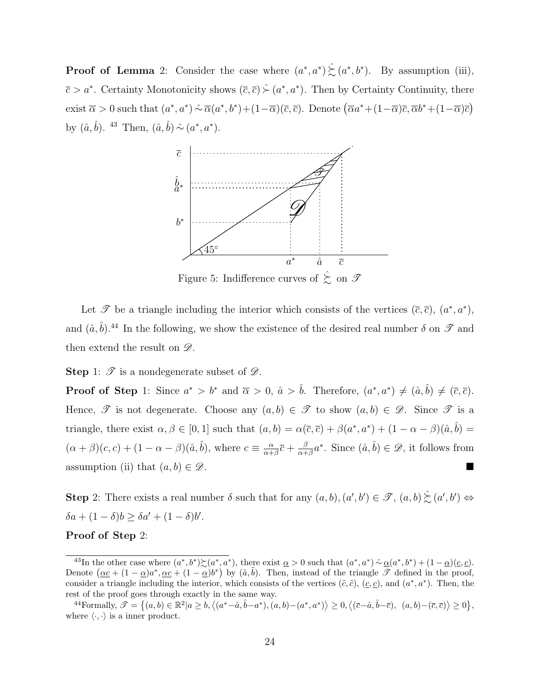**Proof of Lemma** 2: Consider the case where  $(a^*, a^*) \geq (a^*, b^*)$ . By assumption (iii),  $\overline{c} > a^*$ . Certainty Monotonicity shows  $(\overline{c}, \overline{c}) \hat{\succ} (a^*, a^*)$ . Then by Certainty Continuity, there exist  $\overline{\alpha} > 0$  such that  $(a^*, a^*) \hat{\sim} \overline{\alpha}(a^*, b^*) + (1 - \overline{\alpha})(\overline{c}, \overline{c})$ . Denote  $(\overline{\alpha}a^* + (1 - \overline{\alpha})\overline{c}, \overline{\alpha}b^* + (1 - \overline{\alpha})\overline{c})$ by  $(\hat{a}, \hat{b})$ . <sup>43</sup> Then,  $(\hat{a}, \hat{b}) \hat{\sim} (a^*, a^*)$ .



Figure 5: Indifference curves of  $\hat{\xi}$  on  $\mathscr{T}$ 

Let  $\mathscr T$  be a triangle including the interior which consists of the vertices  $(\bar c, \bar c)$ ,  $(a^*, a^*)$ , and  $(\hat{a}, \hat{b})$ .<sup>44</sup> In the following, we show the existence of the desired real number  $\delta$  on  $\mathscr{T}$  and then extend the result on *D*.

**Step** 1: *T* is a nondegenerate subset of *D*.

**Proof of Step** 1: Since  $a^* > b^*$  and  $\overline{\alpha} > 0$ ,  $\hat{a} > \hat{b}$ . Therefore,  $(a^*, a^*) \neq (\hat{a}, \hat{b}) \neq (\overline{c}, \overline{c})$ . Hence,  $\mathscr T$  is not degenerate. Choose any  $(a, b) \in \mathscr T$  to show  $(a, b) \in \mathscr D$ . Since  $\mathscr T$  is a triangle, there exist  $\alpha, \beta \in [0, 1]$  such that  $(a, b) = \alpha(\overline{c}, \overline{c}) + \beta(a^*, a^*) + (1 - \alpha - \beta)(\hat{a}, \hat{b}) =$  $(\alpha + \beta)(c, c) + (1 - \alpha - \beta)(\hat{a}, \hat{b})$ , where  $c \equiv \frac{\alpha}{\alpha + \beta}$  $\frac{\alpha}{\alpha+\beta}\overline{c}+\frac{\beta}{\alpha+\beta}$  $\frac{\beta}{\alpha+\beta}a^*$ . Since  $(\hat{a},\hat{b}) \in \mathscr{D}$ , it follows from assumption (ii) that  $(a, b) \in \mathscr{D}$ .

**Step** 2: There exists a real number  $\delta$  such that for any  $(a, b), (a', b') \in \mathcal{F}, (a, b) \gtrsim (a', b') \Leftrightarrow$  $\delta a + (1 - \delta)b \geq \delta a' + (1 - \delta)b'.$ 

#### **Proof of Step** 2:

<sup>&</sup>lt;sup>43</sup>In the other case where  $(a^*,b^*)\mathcal{L}(a^*,a^*)$ , there exist  $\underline{\alpha} > 0$  such that  $(a^*,a^*) \mathcal{L}(\underline{\alpha}^*,b^*) + (1-\underline{\alpha})(\underline{c},\underline{c})$ . Denote  $(\alpha c + (1 - \alpha)a^*, \alpha c + (1 - \alpha)b^*)$  by  $(\tilde{a}, \tilde{b})$ . Then, instead of the triangle  $\mathscr{T}$  defined in the proof, consider a triangle including the interior, which consists of the vertices  $(\tilde{c}, \tilde{c})$ ,  $(\underline{c}, \underline{c})$ , and  $(a^*, a^*)$ . Then, the rest of the proof goes through exactly in the same way.

<sup>&</sup>lt;sup>44</sup>Formally,  $\mathcal{T} = \{(a,b) \in \mathbb{R}^2 | a \ge b, \langle (a^* - \hat{a}, \hat{b} - a^*), (a,b) - (a^*, a^*) \rangle \ge 0, \langle (\overline{c} - \hat{a}, \hat{b} - \overline{c}), (a,b) - (\overline{c}, \overline{c}) \rangle \ge 0 \},$ where  $\langle \cdot, \cdot \rangle$  is a inner product.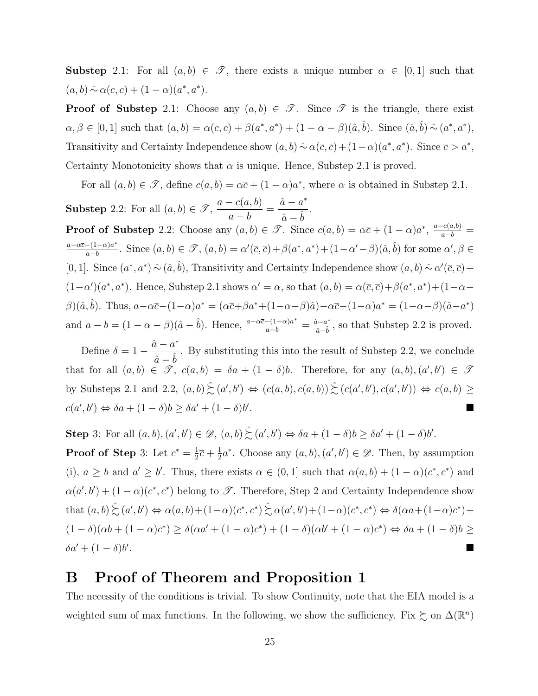**Substep** 2.1: For all  $(a, b) \in \mathcal{T}$ , there exists a unique number  $\alpha \in [0, 1]$  such that  $(a, b) \land \alpha(\overline{c}, \overline{c}) + (1 - \alpha)(a^*, a^*).$ 

**Proof of Substep** 2.1: Choose any  $(a, b) \in \mathcal{T}$ . Since  $\mathcal{T}$  is the triangle, there exist  $\alpha, \beta \in [0,1]$  such that  $(a,b) = \alpha(\overline{c}, \overline{c}) + \beta(a^*, a^*) + (1 - \alpha - \beta)(\hat{a}, \hat{b})$ . Since  $(\hat{a}, \hat{b}) \sim (a^*, a^*)$ , Transitivity and Certainty Independence show  $(a, b) \land \alpha(\bar{c}, \bar{c}) + (1 - \alpha)(a^*, a^*)$ . Since  $\bar{c} > a^*$ , Certainty Monotonicity shows that  $\alpha$  is unique. Hence, Substep 2.1 is proved.

For all  $(a, b) \in \mathcal{F}$ , define  $c(a, b) = \alpha \bar{c} + (1 - \alpha)a^*$ , where  $\alpha$  is obtained in Substep 2.1.

**Substep** 2.2: For all  $(a, b) \in \mathcal{T}$ , *a − c*(*a, b*) *a − b*  $=\frac{\hat{a}-a^*}{\hat{a}-\hat{a}}$  $\frac{x}{\hat{a}-\hat{b}}$ . **Proof of Substep** 2.2: Choose any  $(a, b) \in \mathcal{F}$ . Since  $c(a, b) = \alpha \bar{c} + (1 - \alpha)a^*$ ,  $\frac{a - c(a, b)}{a - b} =$ *a−αc−*(1*−α*)*a ∗*  $\frac{-(1-\alpha)a^*}{a-b}$ . Since  $(a,b) \in \mathcal{F}$ ,  $(a,b) = \alpha'(\overline{c},\overline{c}) + \beta(a^*,a^*) + (1-\alpha'-\beta)(\hat{a},\hat{b})$  for some  $\alpha', \beta \in \mathcal{F}$ [0, 1]. Since  $(a^*, a^*) \hat{~} \left( \hat{a}, \hat{b} \right)$ , Transitivity and Certainty Independence show  $(a, b) \hat{~} \left( \alpha, \overline{c}, \overline{c} \right)$  +  $(1-\alpha')(a^*, a^*)$ . Hence, Substep 2.1 shows  $\alpha' = \alpha$ , so that  $(a, b) = \alpha(\overline{c}, \overline{c}) + \beta(a^*, a^*) + (1-\alpha-\beta)\overline{a}$  $\beta$ )( $\hat{a}, \hat{b}$ ). Thus,  $a-\alpha\bar{c}-(1-\alpha)a^* = (\alpha\bar{c}+\beta a^*+(1-\alpha-\beta)\hat{a})-\alpha\bar{c}-(1-\alpha)a^* = (1-\alpha-\beta)(\hat{a}-a^*)$ and  $a-b=(1-\alpha-\beta)(\hat{a}-\hat{b})$ . Hence,  $\frac{a-\alpha\bar{c}-(1-\alpha)a^*}{a-b}=\frac{\hat{a}-a^*}{\hat{a}-\hat{b}}$ , so that Substep 2.2 is proved.

Define  $\delta = 1 \hat{a} - a^*$  $\frac{\partial}{\partial a} - \hat{b}$ . By substituting this into the result of Substep 2.2, we conclude that for all  $(a, b) \in \mathcal{F}$ ,  $c(a, b) = \delta a + (1 - \delta)b$ . Therefore, for any  $(a, b), (a', b') \in \mathcal{F}$ by Substeps 2.1 and 2.2,  $(a, b) \geq (a', b') \Leftrightarrow (c(a, b), c(a, b)) \geq (c(a', b'), c(a', b')) \Leftrightarrow c(a, b) \geq$  $c(a', b') \Leftrightarrow \delta a + (1 - \delta)b \geq \delta a' + (1 - \delta)b'$ .

**Step** 3: For all  $(a, b), (a', b') \in \mathcal{D}, (a, b) \gtrsim (a', b') \Leftrightarrow \delta a + (1 - \delta)b \geq \delta a' + (1 - \delta)b'.$ 

**Proof of Step** 3: Let  $c^* = \frac{1}{2}$  $\frac{1}{2}\bar{c} + \frac{1}{2}$  $\frac{1}{2}a^*$ . Choose any  $(a, b), (a', b') \in \mathscr{D}$ . Then, by assumption (i),  $a \geq b$  and  $a' \geq b'$ . Thus, there exists  $\alpha \in (0,1]$  such that  $\alpha(a,b) + (1-\alpha)(c^*, c^*)$  and  $\alpha(a',b') + (1-\alpha)(c^*,c^*)$  belong to *T*. Therefore, Step 2 and Certainty Independence show that  $(a, b) \gtrsim (a', b') \Leftrightarrow \alpha(a, b) + (1 - \alpha)(c^*, c^*) \gtrsim \alpha(a', b') + (1 - \alpha)(c^*, c^*) \Leftrightarrow \delta(\alpha a + (1 - \alpha)c^*) +$  $(1 - \delta)(\alpha b + (1 - \alpha)c^*) \ge \delta(\alpha a' + (1 - \alpha)c^*) + (1 - \delta)(\alpha b' + (1 - \alpha)c^*) \Leftrightarrow \delta a + (1 - \delta)b \ge$  $\delta a' + (1-\delta)b'$ . A construction of the construction of the construction of the construction of the construction of the construction

# **B Proof of Theorem and Proposition 1**

The necessity of the conditions is trivial. To show Continuity, note that the EIA model is a weighted sum of max functions. In the following, we show the sufficiency. Fix  $\gtrsim$  on  $\Delta(\mathbb{R}^n)$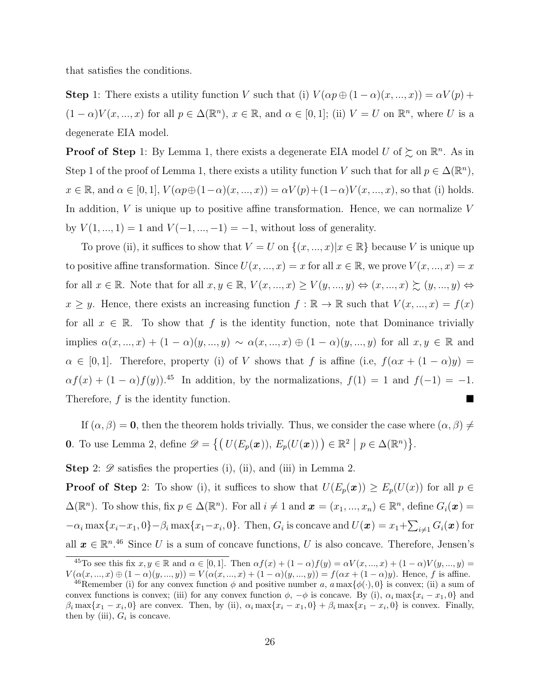that satisfies the conditions.

**Step** 1: There exists a utility function *V* such that (i)  $V(\alpha p \oplus (1-\alpha)(x, ..., x)) = \alpha V(p) +$  $(1 - \alpha)V(x, ..., x)$  for all  $p \in \Delta(\mathbb{R}^n)$ ,  $x \in \mathbb{R}$ , and  $\alpha \in [0, 1]$ ; (ii)  $V = U$  on  $\mathbb{R}^n$ , where *U* is a degenerate EIA model.

**Proof of Step** 1: By Lemma 1, there exists a degenerate EIA model  $U$  of  $\succsim$  on  $\mathbb{R}^n$ . As in Step 1 of the proof of Lemma 1, there exists a utility function *V* such that for all  $p \in \Delta(\mathbb{R}^n)$ ,  $x \in \mathbb{R}$ , and  $\alpha \in [0, 1]$ ,  $V(\alpha p \oplus (1 - \alpha)(x, ..., x)) = \alpha V(p) + (1 - \alpha)V(x, ..., x)$ , so that (i) holds. In addition, *V* is unique up to positive affine transformation. Hence, we can normalize *V* by  $V(1, ..., 1) = 1$  and  $V(-1, ..., -1) = -1$ , without loss of generality.

To prove (ii), it suffices to show that  $V = U$  on  $\{(x, ..., x) | x \in \mathbb{R}\}$  because V is unique up to positive affine transformation. Since  $U(x, ..., x) = x$  for all  $x \in \mathbb{R}$ , we prove  $V(x, ..., x) = x$ for all  $x \in \mathbb{R}$ . Note that for all  $x, y \in \mathbb{R}$ ,  $V(x, ..., x) \ge V(y, ..., y) \Leftrightarrow (x, ..., x) \succsim (y, ..., y) \Leftrightarrow$  $x \geq y$ . Hence, there exists an increasing function  $f : \mathbb{R} \to \mathbb{R}$  such that  $V(x, ..., x) = f(x)$ for all  $x \in \mathbb{R}$ . To show that f is the identity function, note that Dominance trivially implies  $\alpha(x, ..., x) + (1 - \alpha)(y, ..., y) \sim \alpha(x, ..., x) \oplus (1 - \alpha)(y, ..., y)$  for all  $x, y \in \mathbb{R}$  and  $\alpha \in [0,1]$ . Therefore, property (i) of *V* shows that *f* is affine (i.e,  $f(\alpha x + (1-\alpha)y) =$  $\alpha f(x) + (1 - \alpha)f(y)$ .<sup>45</sup> In addition, by the normalizations,  $f(1) = 1$  and  $f(-1) = -1$ . Therefore, *f* is the identity function.

If  $(\alpha, \beta) = 0$ , then the theorem holds trivially. Thus, we consider the case where  $(\alpha, \beta) \neq 0$ **0**. To use Lemma 2, define  $\mathscr{D} = \{ (U(E_p(\boldsymbol{x})), E_p(U(\boldsymbol{x}))) \in \mathbb{R}^2 \mid p \in \Delta(\mathbb{R}^n) \}.$ 

**Step** 2:  $\mathscr{D}$  satisfies the properties (i), (ii), and (iii) in Lemma 2.

**Proof of Step** 2: To show (i), it suffices to show that  $U(E_p(\boldsymbol{x})) \geq E_p(U(\boldsymbol{x}))$  for all  $p \in$  $\Delta(\mathbb{R}^n)$ . To show this, fix  $p \in \Delta(\mathbb{R}^n)$ . For all  $i \neq 1$  and  $\boldsymbol{x} = (x_1, ..., x_n) \in \mathbb{R}^n$ , define  $G_i(\boldsymbol{x}) =$  $-\alpha_i \max\{x_i-x_1,0\}-\beta_i \max\{x_1-x_i,0\}.$  Then,  $G_i$  is concave and  $U(\boldsymbol{x})=x_1+\sum_{i\neq 1}G_i(\boldsymbol{x})$  for all  $x \in \mathbb{R}^{n}$ <sup>46</sup> Since *U* is a sum of concave functions, *U* is also concave. Therefore, Jensen's

<sup>&</sup>lt;sup>45</sup>To see this fix  $x, y \in \mathbb{R}$  and  $\alpha \in [0, 1]$ . Then  $\alpha f(x) + (1 - \alpha)f(y) = \alpha V(x, ..., x) + (1 - \alpha)V(y, ..., y) =$  $V(\alpha(x, ..., x) \oplus (1 - \alpha)(y, ..., y)) = V(\alpha(x, ..., x) + (1 - \alpha)(y, ..., y)) = f(\alpha x + (1 - \alpha)y)$ . Hence, f is affine.

<sup>&</sup>lt;sup>46</sup>Remember (i) for any convex function  $\phi$  and positive number *a*,  $a \max{\{\phi(\cdot), 0\}}$  is convex; (ii) a sum of convex functions is convex; (iii) for any convex function  $\phi$ ,  $-\phi$  is concave. By (i),  $\alpha_i \max\{x_i - x_1, 0\}$  and  $\beta_i \max\{x_1 - x_i, 0\}$  are convex. Then, by (ii),  $\alpha_i \max\{x_i - x_1, 0\} + \beta_i \max\{x_1 - x_i, 0\}$  is convex. Finally, then by (iii),  $G_i$  is concave.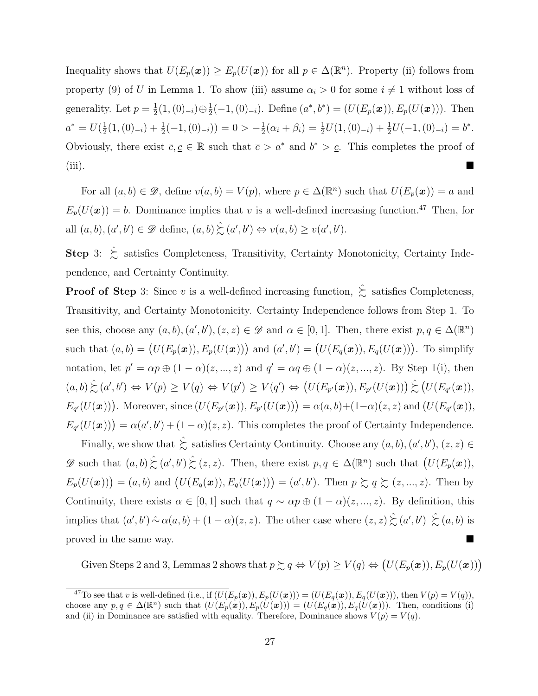Inequality shows that  $U(E_p(\boldsymbol{x})) \geq E_p(U(\boldsymbol{x}))$  for all  $p \in \Delta(\mathbb{R}^n)$ . Property (ii) follows from property (9) of *U* in Lemma 1. To show (iii) assume  $\alpha_i > 0$  for some  $i \neq 1$  without loss of generality. Let  $p = \frac{1}{2}$ <sup>1</sup>/<sub>2</sub><sup>(1, (0)<sub>−*i*</sub></sub> $) \oplus \frac{1}{2}$ </sup>  $\frac{1}{2}(-1, (0)_{-i})$ . Define  $(a^*, b^*) = (U(E_p(\boldsymbol{x})), E_p(U(\boldsymbol{x})))$ . Then  $a^* = U(\frac{1}{2})$  $\frac{1}{2}(1,(0)_{-i}) + \frac{1}{2}(-1,(0)_{-i}) = 0 > -\frac{1}{2}$  $\frac{1}{2}(\alpha_i + \beta_i) = \frac{1}{2}U(1,(0)_{-i}) + \frac{1}{2}U(-1,(0)_{-i}) = b^*$ . Obviously, there exist  $\overline{c}, \underline{c} \in \mathbb{R}$  such that  $\overline{c} > a^*$  and  $b^* > \underline{c}$ . This completes the proof of (iii).

For all  $(a, b) \in \mathcal{D}$ , define  $v(a, b) = V(p)$ , where  $p \in \Delta(\mathbb{R}^n)$  such that  $U(E_p(\boldsymbol{x})) = a$  and  $E_p(U(\boldsymbol{x})) = b$ . Dominance implies that *v* is a well-defined increasing function.<sup>47</sup> Then, for all  $(a, b), (a', b') \in \mathscr{D}$  define,  $(a, b) \gtrsim (a', b') \Leftrightarrow v(a, b) \ge v(a', b')$ .

**Step** 3:  $\hat{\Sigma}$  satisfies Completeness, Transitivity, Certainty Monotonicity, Certainty Independence, and Certainty Continuity.

**Proof of Step** 3: Since *v* is a well-defined increasing function,  $\hat{\xi}$  satisfies Completeness, Transitivity, and Certainty Monotonicity. Certainty Independence follows from Step 1. To see this, choose any  $(a, b)$ ,  $(a', b')$ ,  $(z, z) \in \mathcal{D}$  and  $\alpha \in [0, 1]$ . Then, there exist  $p, q \in \Delta(\mathbb{R}^n)$ such that  $(a,b) = (U(E_p(\boldsymbol{x})), E_p(U(\boldsymbol{x})))$  and  $(a',b') = (U(E_q(\boldsymbol{x})), E_q(U(\boldsymbol{x})))$ . To simplify notation, let  $p' = \alpha p \oplus (1 - \alpha)(z, ..., z)$  and  $q' = \alpha q \oplus (1 - \alpha)(z, ..., z)$ . By Step 1(i), then  $(a,b)\hat{\succsim}(a',b') \Leftrightarrow V(p) \geq V(q) \Leftrightarrow V(p') \geq V(q') \Leftrightarrow (U(E_{p'}(\boldsymbol{x})),E_{p'}(U(\boldsymbol{x})))\hat{\succsim}(U(E_{q'}(\boldsymbol{x})),$  $E_{q'}(U(\boldsymbol{x}))$ . Moreover, since  $(U(E_{p'}(\boldsymbol{x})), E_{p'}(U(\boldsymbol{x}))) = \alpha(a, b) + (1-\alpha)(z, z)$  and  $(U(E_{q'}(\boldsymbol{x})),$  $E_{q'}(U(\boldsymbol{x}))$  =  $\alpha(a',b') + (1-\alpha)(z,z)$ . This completes the proof of Certainty Independence.

Finally, we show that  $\hat{\Sigma}$  satisfies Certainty Continuity. Choose any  $(a, b)$ ,  $(a', b')$ ,  $(z, z) \in$  $\mathscr{D}$  such that  $(a, b) \geq (a', b') \geq (z, z)$ . Then, there exist  $p, q \in \Delta(\mathbb{R}^n)$  such that  $(U(E_p(\boldsymbol{x})),$  $E_p(U(\boldsymbol{x}))=(a,b)$  and  $(U(E_q(\boldsymbol{x})), E_q(U(\boldsymbol{x})))=(a',b')$ . Then  $p \succsim q \succsim (z,...,z)$ . Then by Continuity, there exists  $\alpha \in [0,1]$  such that  $q \sim \alpha p \oplus (1-\alpha)(z, ..., z)$ . By definition, this implies that  $(a', b') \sim \alpha(a, b) + (1 - \alpha)(z, z)$ . The other case where  $(z, z) \gtrsim (a', b') \gtrsim (a, b)$  is proved in the same way.

Given Steps 2 and 3, Lemmas 2 shows that  $p \succsim q \Leftrightarrow V(p) \geq V(q) \Leftrightarrow (U(E_p(\boldsymbol{x})), E_p(U(\boldsymbol{x})))$ 

<sup>&</sup>lt;sup>47</sup>To see that v is well-defined (i.e., if  $(U(E_p(x)), E_p(U(x))) = (U(E_q(x)), E_q(U(x)))$ , then  $V(p) = V(q)$ ), choose any  $p, q \in \Delta(\mathbb{R}^n)$  such that  $(U(E_p(\boldsymbol{x})), E_p(\tilde{U}(\boldsymbol{x}))) = (U(E_q(\boldsymbol{x})), E_q(\tilde{U}(\boldsymbol{x})))$ . Then, conditions (i) and (ii) in Dominance are satisfied with equality. Therefore, Dominance shows  $V(p) = V(q)$ .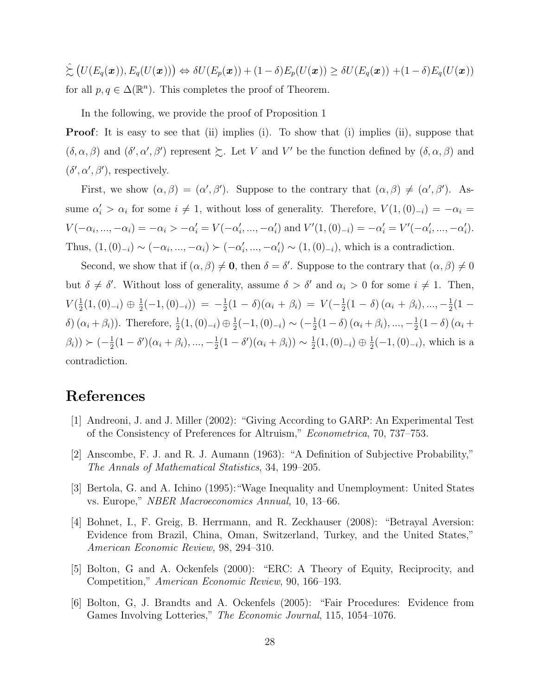$\hat{\succsim}(U(E_q(\boldsymbol{x})), E_q(U(\boldsymbol{x}))) \Leftrightarrow \delta U(E_p(\boldsymbol{x})) + (1-\delta)E_p(U(\boldsymbol{x})) \geq \delta U(E_q(\boldsymbol{x})) + (1-\delta)E_q(U(\boldsymbol{x})))$ for all  $p, q \in \Delta(\mathbb{R}^n)$ . This completes the proof of Theorem.

In the following, we provide the proof of Proposition 1

**Proof**: It is easy to see that (ii) implies (i). To show that (i) implies (ii), suppose that  $(\delta, \alpha, \beta)$  and  $(\delta', \alpha', \beta')$  represent  $\succsim$ . Let *V* and *V'* be the function defined by  $(\delta, \alpha, \beta)$  and  $(\delta', \alpha', \beta')$ , respectively.

First, we show  $(\alpha, \beta) = (\alpha', \beta')$ . Suppose to the contrary that  $(\alpha, \beta) \neq (\alpha', \beta')$ . Assume  $\alpha'_i > \alpha_i$  for some  $i \neq 1$ , without loss of generality. Therefore,  $V(1, (0)_{-i}) = -\alpha_i =$  $V(-\alpha_i, ..., -\alpha_i) = -\alpha_i > -\alpha'_i = V(-\alpha'_i, ..., -\alpha'_i)$  and  $V'(1, (0)_{-i}) = -\alpha'_i = V'(-\alpha'_i, ..., -\alpha'_i)$ . Thus,  $(1, (0)_{-i}) \sim (-\alpha_i, ..., -\alpha_i) \succ (-\alpha'_i, ..., -\alpha'_i) \sim (1, (0)_{-i})$ , which is a contradiction.

Second, we show that if  $(\alpha, \beta) \neq \mathbf{0}$ , then  $\delta = \delta'$ . Suppose to the contrary that  $(\alpha, \beta) \neq 0$ but  $\delta \neq \delta'$ . Without loss of generality, assume  $\delta > \delta'$  and  $\alpha_i > 0$  for some  $i \neq 1$ . Then,  $V(\frac{1}{2})$  $\frac{1}{2}(1,(0)_{-i}) \oplus \frac{1}{2}$  $\frac{1}{2}(-1,(0)_{-i})$  =  $-\frac{1}{2}$  $\frac{1}{2}(1-\delta)(\alpha_i+\beta_i) = V(-\frac{1}{2})$  $\frac{1}{2}(1-\delta)(\alpha_i+\beta_i),...,-\frac{1}{2}$  $rac{1}{2}(1 \delta$ ) ( $\alpha_i + \beta_i$ )). Therefore,  $\frac{1}{2}(1,(0)_{-i}) \oplus \frac{1}{2}$  $\frac{1}{2}(-1,(0)_{-i}) \sim (-\frac{1}{2})$  $\frac{1}{2}(1-\delta)(\alpha_i+\beta_i),...,-\frac{1}{2}$  $\frac{1}{2}(1-\delta)(\alpha_i +$  $(\beta_i)) > (-\frac{1}{2})$  $\frac{1}{2}(1-\delta')(\alpha_i+\beta_i),...,-\frac{1}{2}$  $\frac{1}{2}(1-\delta')(\alpha_i+\beta_i)) \sim \frac{1}{2}$  $\frac{1}{2}(1,(0)_{-i}) \oplus \frac{1}{2}$ 2 (*−*1*,*(0)*−<sup>i</sup>*), which is a contradiction.

# **References**

- [1] Andreoni, J. and J. Miller (2002): "Giving According to GARP: An Experimental Test of the Consistency of Preferences for Altruism," *Econometrica*, 70, 737–753.
- [2] Anscombe, F. J. and R. J. Aumann (1963): "A Definition of Subjective Probability," *The Annals of Mathematical Statistics*, 34, 199–205.
- [3] Bertola, G. and A. Ichino (1995):"Wage Inequality and Unemployment: United States vs. Europe," *NBER Macroeconomics Annual,* 10, 13–66.
- [4] Bohnet, I., F. Greig, B. Herrmann, and R. Zeckhauser (2008): "Betrayal Aversion: Evidence from Brazil, China, Oman, Switzerland, Turkey, and the United States," *American Economic Review,* 98, 294–310.
- [5] Bolton, G and A. Ockenfels (2000): "ERC: A Theory of Equity, Reciprocity, and Competition," *American Economic Review*, 90, 166–193.
- [6] Bolton, G, J. Brandts and A. Ockenfels (2005): "Fair Procedures: Evidence from Games Involving Lotteries," *The Economic Journal*, 115, 1054–1076.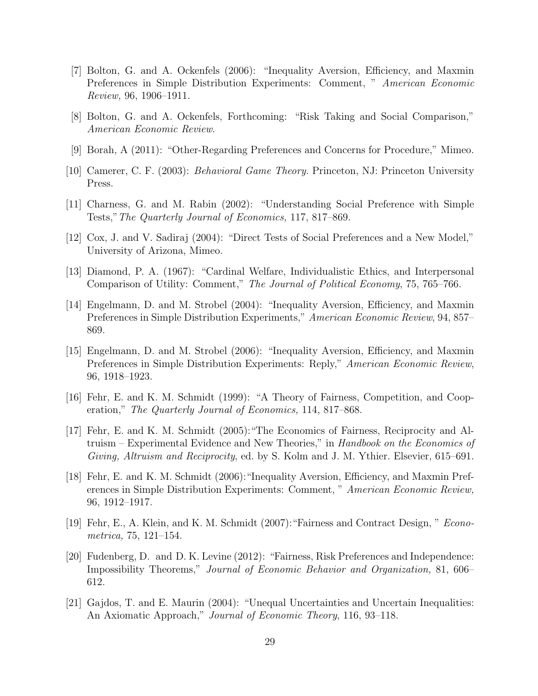- [7] Bolton, G. and A. Ockenfels (2006): "Inequality Aversion, Efficiency, and Maxmin Preferences in Simple Distribution Experiments: Comment, " *American Economic Review,* 96, 1906–1911.
- [8] Bolton, G. and A. Ockenfels, Forthcoming: "Risk Taking and Social Comparison," *American Economic Review*.
- [9] Borah, A (2011): "Other-Regarding Preferences and Concerns for Procedure," Mimeo.
- [10] Camerer, C. F. (2003): *Behavioral Game Theory.* Princeton, NJ: Princeton University Press.
- [11] Charness, G. and M. Rabin (2002): "Understanding Social Preference with Simple Tests,"*The Quarterly Journal of Economics,* 117, 817–869.
- [12] Cox, J. and V. Sadiraj (2004): "Direct Tests of Social Preferences and a New Model," University of Arizona, Mimeo.
- [13] Diamond, P. A. (1967): "Cardinal Welfare, Individualistic Ethics, and Interpersonal Comparison of Utility: Comment," *The Journal of Political Economy*, 75, 765–766.
- [14] Engelmann, D. and M. Strobel (2004): "Inequality Aversion, Efficiency, and Maxmin Preferences in Simple Distribution Experiments," *American Economic Review*, 94, 857– 869.
- [15] Engelmann, D. and M. Strobel (2006): "Inequality Aversion, Efficiency, and Maxmin Preferences in Simple Distribution Experiments: Reply," *American Economic Review*, 96, 1918–1923.
- [16] Fehr, E. and K. M. Schmidt (1999): "A Theory of Fairness, Competition, and Cooperation," *The Quarterly Journal of Economics,* 114, 817–868.
- [17] Fehr, E. and K. M. Schmidt (2005):"The Economics of Fairness, Reciprocity and Altruism – Experimental Evidence and New Theories," in *Handbook on the Economics of Giving, Altruism and Reciprocity*, ed. by S. Kolm and J. M. Ythier. Elsevier, 615–691.
- [18] Fehr, E. and K. M. Schmidt (2006):"Inequality Aversion, Efficiency, and Maxmin Preferences in Simple Distribution Experiments: Comment, " *American Economic Review,* 96, 1912–1917.
- [19] Fehr, E., A. Klein, and K. M. Schmidt (2007):"Fairness and Contract Design, " *Econometrica,* 75, 121–154.
- [20] Fudenberg, D. and D. K. Levine (2012): "Fairness, Risk Preferences and Independence: Impossibility Theorems," *Journal of Economic Behavior and Organization,* 81, 606– 612.
- [21] Gajdos, T. and E. Maurin (2004): "Unequal Uncertainties and Uncertain Inequalities: An Axiomatic Approach," *Journal of Economic Theory*, 116, 93–118.